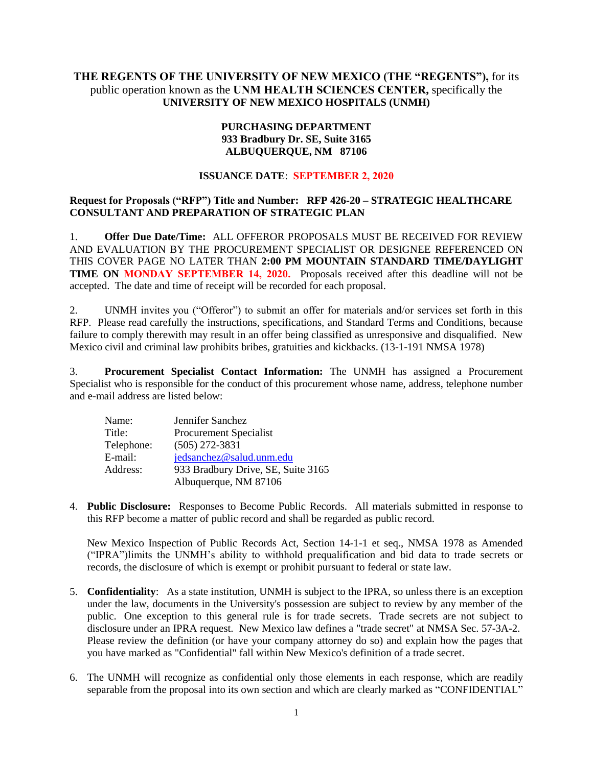# **THE REGENTS OF THE UNIVERSITY OF NEW MEXICO (THE "REGENTS"),** for its public operation known as the **UNM HEALTH SCIENCES CENTER,** specifically the **UNIVERSITY OF NEW MEXICO HOSPITALS (UNMH)**

# **PURCHASING DEPARTMENT 933 Bradbury Dr. SE, Suite 3165 ALBUQUERQUE, NM 87106**

## **ISSUANCE DATE**: **SEPTEMBER 2, 2020**

# **Request for Proposals ("RFP") Title and Number: RFP 426-20 – STRATEGIC HEALTHCARE CONSULTANT AND PREPARATION OF STRATEGIC PLAN**

1. **Offer Due Date/Time:** ALL OFFEROR PROPOSALS MUST BE RECEIVED FOR REVIEW AND EVALUATION BY THE PROCUREMENT SPECIALIST OR DESIGNEE REFERENCED ON THIS COVER PAGE NO LATER THAN **2:00 PM MOUNTAIN STANDARD TIME/DAYLIGHT TIME ON MONDAY SEPTEMBER 14, 2020.** Proposals received after this deadline will not be accepted. The date and time of receipt will be recorded for each proposal.

2. UNMH invites you ("Offeror") to submit an offer for materials and/or services set forth in this RFP. Please read carefully the instructions, specifications, and Standard Terms and Conditions, because failure to comply therewith may result in an offer being classified as unresponsive and disqualified. New Mexico civil and criminal law prohibits bribes, gratuities and kickbacks. (13-1-191 NMSA 1978)

3. **Procurement Specialist Contact Information:** The UNMH has assigned a Procurement Specialist who is responsible for the conduct of this procurement whose name, address, telephone number and e-mail address are listed below:

| Name:      | Jennifer Sanchez                   |
|------------|------------------------------------|
| Title:     | <b>Procurement Specialist</b>      |
| Telephone: | $(505)$ 272-3831                   |
| E-mail:    | jedsanchez@salud.unm.edu           |
| Address:   | 933 Bradbury Drive, SE, Suite 3165 |
|            | Albuquerque, NM 87106              |

4. **Public Disclosure:** Responses to Become Public Records. All materials submitted in response to this RFP become a matter of public record and shall be regarded as public record.

New Mexico Inspection of Public Records Act, Section 14-1-1 et seq., NMSA 1978 as Amended ("IPRA")limits the UNMH's ability to withhold prequalification and bid data to trade secrets or records, the disclosure of which is exempt or prohibit pursuant to federal or state law.

- 5. **Confidentiality**: As a state institution, UNMH is subject to the IPRA, so unless there is an exception under the law, documents in the University's possession are subject to review by any member of the public. One exception to this general rule is for trade secrets. Trade secrets are not subject to disclosure under an IPRA request. New Mexico law defines a "trade secret" at NMSA Sec. 57-3A-2. Please review the definition (or have your company attorney do so) and explain how the pages that you have marked as "Confidential" fall within New Mexico's definition of a trade secret.
- 6. The UNMH will recognize as confidential only those elements in each response, which are readily separable from the proposal into its own section and which are clearly marked as "CONFIDENTIAL"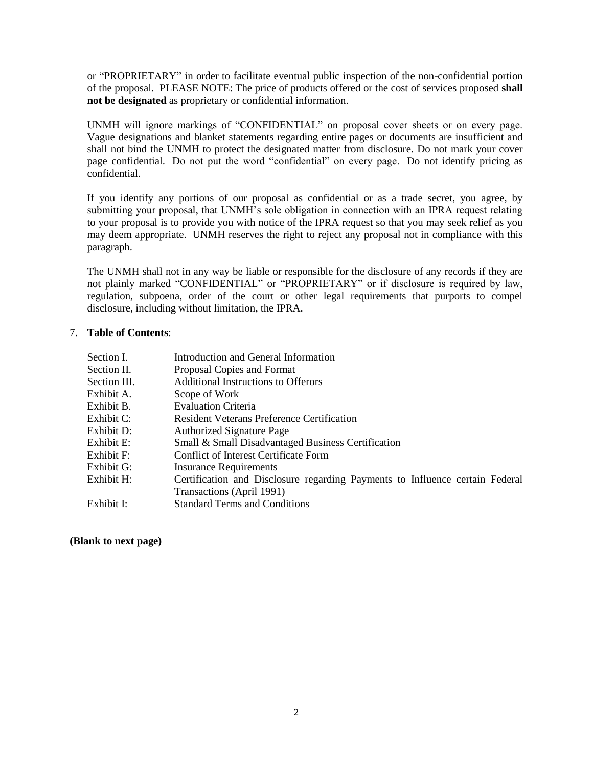or "PROPRIETARY" in order to facilitate eventual public inspection of the non-confidential portion of the proposal. PLEASE NOTE: The price of products offered or the cost of services proposed **shall not be designated** as proprietary or confidential information.

UNMH will ignore markings of "CONFIDENTIAL" on proposal cover sheets or on every page. Vague designations and blanket statements regarding entire pages or documents are insufficient and shall not bind the UNMH to protect the designated matter from disclosure. Do not mark your cover page confidential. Do not put the word "confidential" on every page. Do not identify pricing as confidential.

If you identify any portions of our proposal as confidential or as a trade secret, you agree, by submitting your proposal, that UNMH's sole obligation in connection with an IPRA request relating to your proposal is to provide you with notice of the IPRA request so that you may seek relief as you may deem appropriate. UNMH reserves the right to reject any proposal not in compliance with this paragraph.

The UNMH shall not in any way be liable or responsible for the disclosure of any records if they are not plainly marked "CONFIDENTIAL" or "PROPRIETARY" or if disclosure is required by law, regulation, subpoena, order of the court or other legal requirements that purports to compel disclosure, including without limitation, the IPRA.

## 7. **Table of Contents**:

| Section I.   | Introduction and General Information                                         |
|--------------|------------------------------------------------------------------------------|
| Section II.  | Proposal Copies and Format                                                   |
| Section III. | <b>Additional Instructions to Offerors</b>                                   |
| Exhibit A.   | Scope of Work                                                                |
| Exhibit B.   | <b>Evaluation Criteria</b>                                                   |
| Exhibit C:   | <b>Resident Veterans Preference Certification</b>                            |
| Exhibit D:   | <b>Authorized Signature Page</b>                                             |
| Exhibit E:   | Small & Small Disadvantaged Business Certification                           |
| Exhibit F:   | Conflict of Interest Certificate Form                                        |
| Exhibit G:   | <b>Insurance Requirements</b>                                                |
| Exhibit H:   | Certification and Disclosure regarding Payments to Influence certain Federal |
|              | Transactions (April 1991)                                                    |
| Exhibit I:   | <b>Standard Terms and Conditions</b>                                         |

#### **(Blank to next page)**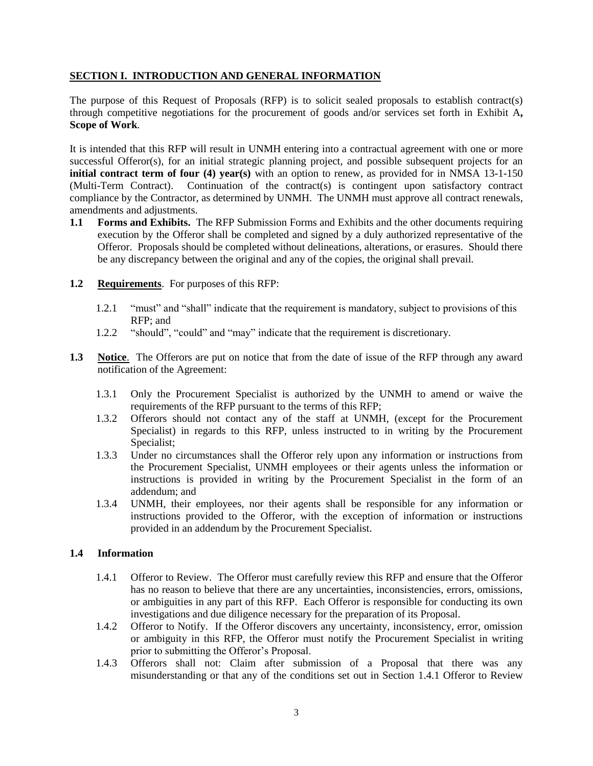## **SECTION I. INTRODUCTION AND GENERAL INFORMATION**

The purpose of this Request of Proposals (RFP) is to solicit sealed proposals to establish contract(s) through competitive negotiations for the procurement of goods and/or services set forth in Exhibit A**, Scope of Work**.

It is intended that this RFP will result in UNMH entering into a contractual agreement with one or more successful Offeror(s), for an initial strategic planning project, and possible subsequent projects for an **initial contract term of four (4) year(s)** with an option to renew, as provided for in NMSA 13-1-150 (Multi-Term Contract). Continuation of the contract(s) is contingent upon satisfactory contract compliance by the Contractor, as determined by UNMH. The UNMH must approve all contract renewals, amendments and adjustments.

- **1.1 Forms and Exhibits.** The RFP Submission Forms and Exhibits and the other documents requiring execution by the Offeror shall be completed and signed by a duly authorized representative of the Offeror. Proposals should be completed without delineations, alterations, or erasures. Should there be any discrepancy between the original and any of the copies, the original shall prevail.
- **1.2 Requirements**. For purposes of this RFP:
	- 1.2.1 "must" and "shall" indicate that the requirement is mandatory, subject to provisions of this RFP; and
	- 1.2.2 "should", "could" and "may" indicate that the requirement is discretionary.
- **1.3 Notice**.The Offerors are put on notice that from the date of issue of the RFP through any award notification of the Agreement:
	- 1.3.1 Only the Procurement Specialist is authorized by the UNMH to amend or waive the requirements of the RFP pursuant to the terms of this RFP;
	- 1.3.2 Offerors should not contact any of the staff at UNMH, (except for the Procurement Specialist) in regards to this RFP, unless instructed to in writing by the Procurement Specialist;
	- 1.3.3 Under no circumstances shall the Offeror rely upon any information or instructions from the Procurement Specialist, UNMH employees or their agents unless the information or instructions is provided in writing by the Procurement Specialist in the form of an addendum; and
	- 1.3.4 UNMH, their employees, nor their agents shall be responsible for any information or instructions provided to the Offeror, with the exception of information or instructions provided in an addendum by the Procurement Specialist.

## **1.4 Information**

- 1.4.1 Offeror to Review. The Offeror must carefully review this RFP and ensure that the Offeror has no reason to believe that there are any uncertainties, inconsistencies, errors, omissions, or ambiguities in any part of this RFP. Each Offeror is responsible for conducting its own investigations and due diligence necessary for the preparation of its Proposal.
- 1.4.2 Offeror to Notify. If the Offeror discovers any uncertainty, inconsistency, error, omission or ambiguity in this RFP, the Offeror must notify the Procurement Specialist in writing prior to submitting the Offeror's Proposal.
- 1.4.3 Offerors shall not: Claim after submission of a Proposal that there was any misunderstanding or that any of the conditions set out in Section 1.4.1 Offeror to Review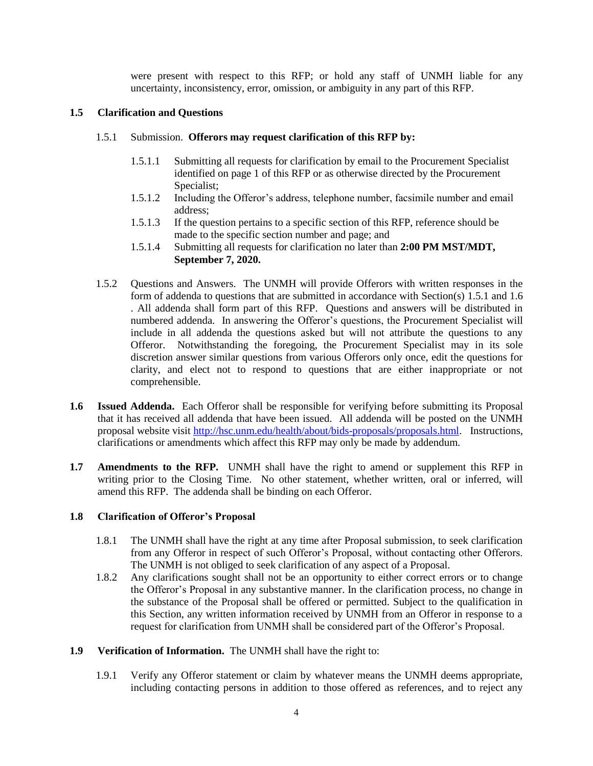were present with respect to this RFP; or hold any staff of UNMH liable for any uncertainty, inconsistency, error, omission, or ambiguity in any part of this RFP.

# **1.5 Clarification and Questions**

## 1.5.1 Submission. **Offerors may request clarification of this RFP by:**

- 1.5.1.1 Submitting all requests for clarification by email to the Procurement Specialist [identified](mailto:identified) on page 1 of this RFP or as otherwise directed by the Procurement Specialist;
- 1.5.1.2 Including the Offeror's address, telephone number, facsimile number and email address;
- 1.5.1.3 If the question pertains to a specific section of this RFP, reference should be made to the specific section number and page; and
- 1.5.1.4 Submitting all requests for clarification no later than **2:00 PM MST/MDT, September 7, 2020.**
- 1.5.2 Questions and Answers.The UNMH will provide Offerors with written responses in the form of addenda to questions that are submitted in accordance with Section(s) 1.5.1 and 1.6 . All addenda shall form part of this RFP. Questions and answers will be distributed in numbered addenda. In answering the Offeror's questions, the Procurement Specialist will include in all addenda the questions asked but will not attribute the questions to any Offeror. Notwithstanding the foregoing, the Procurement Specialist may in its sole discretion answer similar questions from various Offerors only once, edit the questions for clarity, and elect not to respond to questions that are either inappropriate or not comprehensible.
- **1.6 Issued Addenda.** Each Offeror shall be responsible for verifying before submitting its Proposal that it has received all addenda that have been issued. All addenda will be posted on the UNMH proposal website visit [http://hsc.unm.edu/health/about/bids-proposals/proposals.html.](http://hsc.unm.edu/health/about/bids-proposals/proposals.html) Instructions, clarifications or amendments which affect this RFP may only be made by addendum.
- **1.7 Amendments to the RFP.** UNMH shall have the right to amend or supplement this RFP in writing prior to the Closing Time. No other statement, whether written, oral or inferred, will amend this RFP. The addenda shall be binding on each Offeror.

## **1.8 Clarification of Offeror's Proposal**

- 1.8.1 The UNMH shall have the right at any time after Proposal submission, to seek clarification from any Offeror in respect of such Offeror's Proposal, without contacting other Offerors. The UNMH is not obliged to seek clarification of any aspect of a Proposal.
- 1.8.2 Any clarifications sought shall not be an opportunity to either correct errors or to change the Offeror's Proposal in any substantive manner. In the clarification process, no change in the substance of the Proposal shall be offered or permitted. Subject to the qualification in this Section, any written information received by UNMH from an Offeror in response to a request for clarification from UNMH shall be considered part of the Offeror's Proposal.
- **1.9 Verification of Information.** The UNMH shall have the right to:
	- 1.9.1 Verify any Offeror statement or claim by whatever means the UNMH deems appropriate, including contacting persons in addition to those offered as references, and to reject any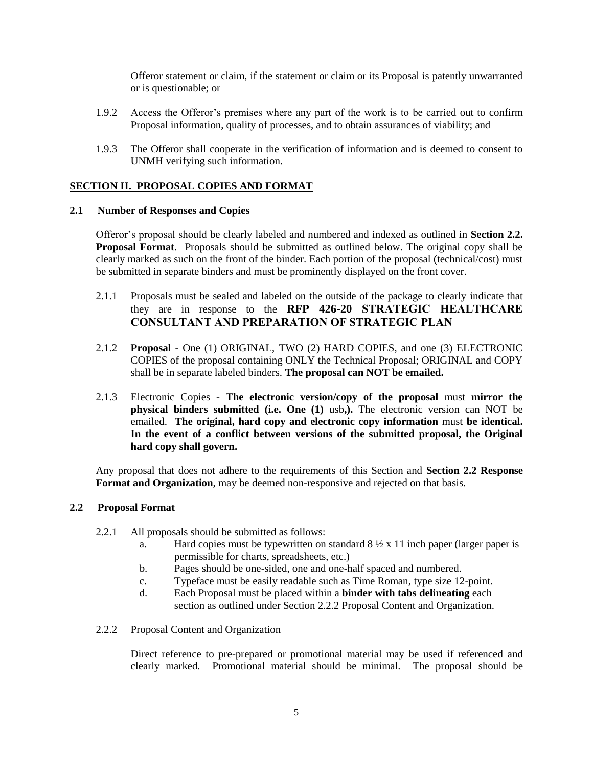Offeror statement or claim, if the statement or claim or its Proposal is patently unwarranted or is questionable; or

- 1.9.2 Access the Offeror's premises where any part of the work is to be carried out to confirm Proposal information, quality of processes, and to obtain assurances of viability; and
- 1.9.3 The Offeror shall cooperate in the verification of information and is deemed to consent to UNMH verifying such information.

## **SECTION II. PROPOSAL COPIES AND FORMAT**

## **2.1 Number of Responses and Copies**

Offeror's proposal should be clearly labeled and numbered and indexed as outlined in **Section 2.2. Proposal Format**. Proposals should be submitted as outlined below. The original copy shall be clearly marked as such on the front of the binder. Each portion of the proposal (technical/cost) must be submitted in separate binders and must be prominently displayed on the front cover.

- 2.1.1 Proposals must be sealed and labeled on the outside of the package to clearly indicate that they are in response to the **RFP 426-20 STRATEGIC HEALTHCARE CONSULTANT AND PREPARATION OF STRATEGIC PLAN**
- 2.1.2 **Proposal -** One (1) ORIGINAL, TWO (2) HARD COPIES, and one (3) ELECTRONIC COPIES of the proposal containing ONLY the Technical Proposal; ORIGINAL and COPY shall be in separate labeled binders. **The proposal can NOT be emailed.**
- 2.1.3 Electronic Copies **- The electronic version/copy of the proposal** must **mirror the physical binders submitted (i.e. One (1)** usb**,).** The electronic version can NOT be emailed. **The original, hard copy and electronic copy information** must **be identical. In the event of a conflict between versions of the submitted proposal, the Original hard copy shall govern.**

Any proposal that does not adhere to the requirements of this Section and **Section 2.2 Response Format and Organization**, may be deemed non-responsive and rejected on that basis.

## **2.2 Proposal Format**

- 2.2.1 All proposals should be submitted as follows:
	- a. Hard copies must be typewritten on standard  $8\frac{1}{2} \times 11$  inch paper (larger paper is permissible for charts, spreadsheets, etc.)
	- b. Pages should be one-sided, one and one-half spaced and numbered.
	- c. Typeface must be easily readable such as Time Roman, type size 12-point.
	- d. Each Proposal must be placed within a **binder with tabs delineating** each section as outlined under Section 2.2.2 Proposal Content and Organization.
- 2.2.2 Proposal Content and Organization

Direct reference to pre-prepared or promotional material may be used if referenced and clearly marked. Promotional material should be minimal. The proposal should be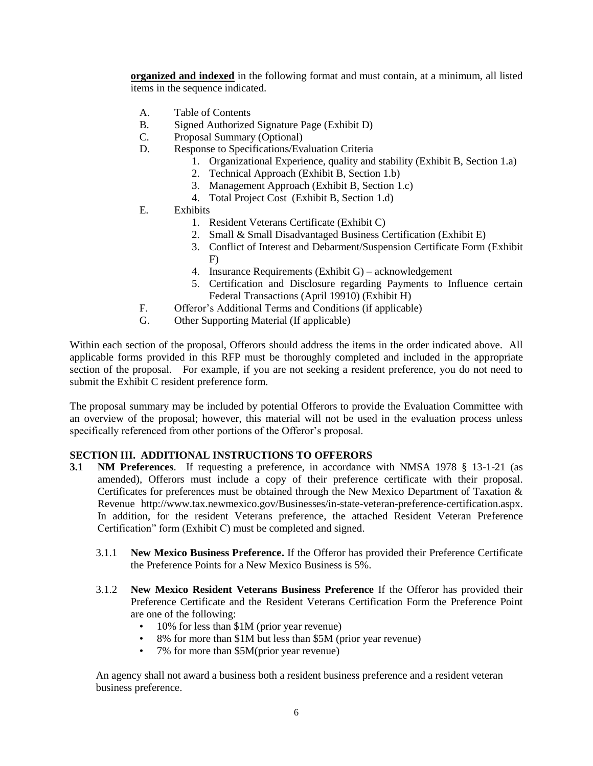**organized and indexed** in the following format and must contain, at a minimum, all listed items in the sequence indicated.

- A. Table of Contents
- B. Signed Authorized Signature Page (Exhibit D)
- C. Proposal Summary (Optional)
- D. Response to Specifications/Evaluation Criteria
	- 1. Organizational Experience, quality and stability (Exhibit B, Section 1.a)
	- 2. Technical Approach (Exhibit B, Section 1.b)
	- 3. Management Approach (Exhibit B, Section 1.c)
	- 4. Total Project Cost (Exhibit B, Section 1.d)
- E. Exhibits
	- 1. Resident Veterans Certificate (Exhibit C)
	- 2. Small & Small Disadvantaged Business Certification (Exhibit E)
	- 3. Conflict of Interest and Debarment/Suspension Certificate Form (Exhibit F)
	- 4. Insurance Requirements (Exhibit G) acknowledgement
	- 5. Certification and Disclosure regarding Payments to Influence certain Federal Transactions (April 19910) (Exhibit H)
- F. Offeror's Additional Terms and Conditions (if applicable)
- G. Other Supporting Material (If applicable)

Within each section of the proposal, Offerors should address the items in the order indicated above. All applicable forms provided in this RFP must be thoroughly completed and included in the appropriate section of the proposal. For example, if you are not seeking a resident preference, you do not need to submit the Exhibit C resident preference form.

The proposal summary may be included by potential Offerors to provide the Evaluation Committee with an overview of the proposal; however, this material will not be used in the evaluation process unless specifically referenced from other portions of the Offeror's proposal.

## **SECTION III. ADDITIONAL INSTRUCTIONS TO OFFERORS**

- **3.1 NM Preferences**. If requesting a preference, in accordance with NMSA 1978 § 13-1-21 (as amended), Offerors must include a copy of their preference certificate with their proposal. Certificates for preferences must be obtained through the New Mexico Department of Taxation & Revenue [http://www.tax.newmexico.gov/Businesses/in-state-veteran-preference-certification.aspx.](http://www.tax.newmexico.gov/Businesses/in-state-veteran-preference-certification.aspx) In addition, for the resident Veterans preference, the attached Resident Veteran Preference Certification" form (Exhibit C) must be completed and signed.
	- 3.1.1 **New Mexico Business Preference.** If the Offeror has provided their Preference Certificate the Preference Points for a New Mexico Business is 5%.
	- 3.1.2 **New Mexico Resident Veterans Business Preference** If the Offeror has provided their Preference Certificate and the Resident Veterans Certification Form the Preference Point are one of the following:
		- 10% for less than \$1M (prior year revenue)<br>• 8% for more than \$1M but less than \$5M (r)
		- 8% for more than \$1M but less than \$5M (prior year revenue)
		- 7% for more than \$5M(prior year revenue)

An agency shall not award a business both a resident business preference and a resident veteran business preference.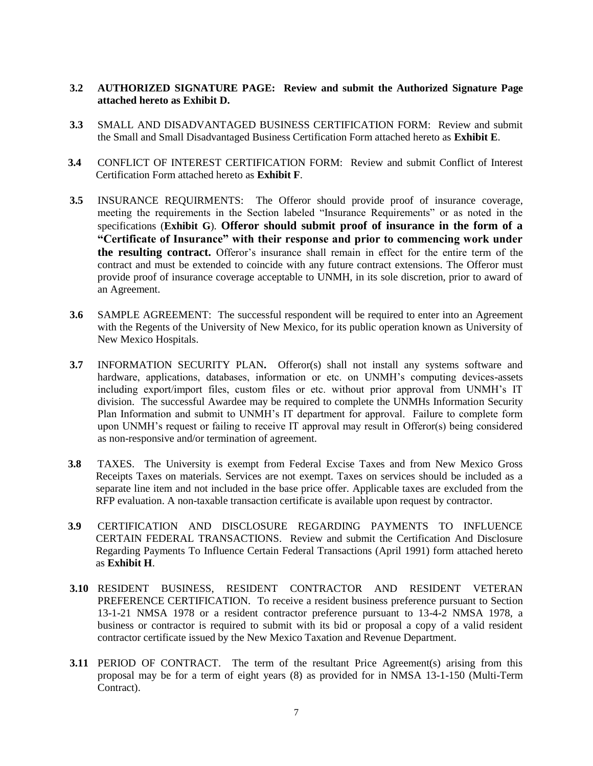## **3.2 AUTHORIZED SIGNATURE PAGE: Review and submit the Authorized Signature Page attached hereto as Exhibit D.**

- **3.3** SMALL AND DISADVANTAGED BUSINESS CERTIFICATION FORM: Review and submit the Small and Small Disadvantaged Business Certification Form attached hereto as **Exhibit E**.
- **3.4** CONFLICT OF INTEREST CERTIFICATION FORM: Review and submit Conflict of Interest Certification Form attached hereto as **Exhibit F**.
- **3.5** INSURANCE REQUIRMENTS: The Offeror should provide proof of insurance coverage, meeting the requirements in the Section labeled "Insurance Requirements" or as noted in the specifications (**Exhibit G**). **Offeror should submit proof of insurance in the form of a "Certificate of Insurance" with their response and prior to commencing work under the resulting contract.** Offeror's insurance shall remain in effect for the entire term of the contract and must be extended to coincide with any future contract extensions. The Offeror must provide proof of insurance coverage acceptable to UNMH, in its sole discretion, prior to award of an Agreement.
- **3.6** SAMPLE AGREEMENT: The successful respondent will be required to enter into an Agreement with the Regents of the University of New Mexico, for its public operation known as University of New Mexico Hospitals.
- **3.7** INFORMATION SECURITY PLAN**.** Offeror(s) shall not install any systems software and hardware, applications, databases, information or etc. on UNMH's computing devices-assets including export/import files, custom files or etc. without prior approval from UNMH's IT division. The successful Awardee may be required to complete the UNMHs Information Security Plan Information and submit to UNMH's IT department for approval. Failure to complete form upon UNMH's request or failing to receive IT approval may result in Offeror(s) being considered as non-responsive and/or termination of agreement.
- **3.8** TAXES. The University is exempt from Federal Excise Taxes and from New Mexico Gross Receipts Taxes on materials. Services are not exempt. Taxes on services should be included as a separate line item and not included in the base price offer. Applicable taxes are excluded from the RFP evaluation. A non-taxable transaction certificate is available upon request by contractor.
- **3.9** CERTIFICATION AND DISCLOSURE REGARDING PAYMENTS TO INFLUENCE CERTAIN FEDERAL TRANSACTIONS. Review and submit the Certification And Disclosure Regarding Payments To Influence Certain Federal Transactions (April 1991) form attached hereto as **Exhibit H**.
- **3.10** RESIDENT BUSINESS, RESIDENT CONTRACTOR AND RESIDENT VETERAN PREFERENCE CERTIFICATION.To receive a resident business preference pursuant to Section 13-1-21 NMSA 1978 or a resident contractor preference pursuant to 13-4-2 NMSA 1978, a business or contractor is required to submit with its bid or proposal a copy of a valid resident contractor certificate issued by the New Mexico Taxation and Revenue Department.
- **3.11** PERIOD OF CONTRACT. The term of the resultant Price Agreement(s) arising from this proposal may be for a term of eight years (8) as provided for in NMSA 13-1-150 (Multi-Term Contract).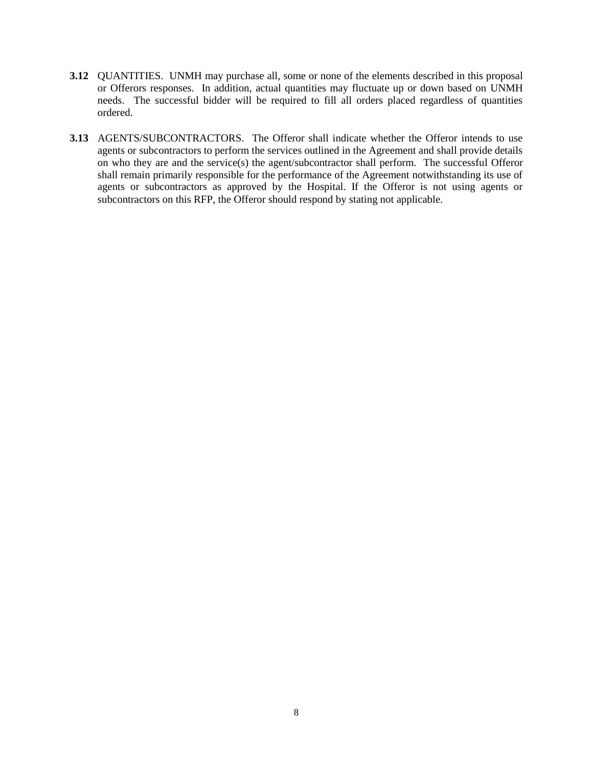- **3.12** QUANTITIES. UNMH may purchase all, some or none of the elements described in this proposal or Offerors responses. In addition, actual quantities may fluctuate up or down based on UNMH needs. The successful bidder will be required to fill all orders placed regardless of quantities ordered.
- **3.13** AGENTS/SUBCONTRACTORS. The Offeror shall indicate whether the Offeror intends to use agents or subcontractors to perform the services outlined in the Agreement and shall provide details on who they are and the service(s) the agent/subcontractor shall perform. The successful Offeror shall remain primarily responsible for the performance of the Agreement notwithstanding its use of agents or subcontractors as approved by the Hospital. If the Offeror is not using agents or subcontractors on this RFP, the Offeror should respond by stating not applicable.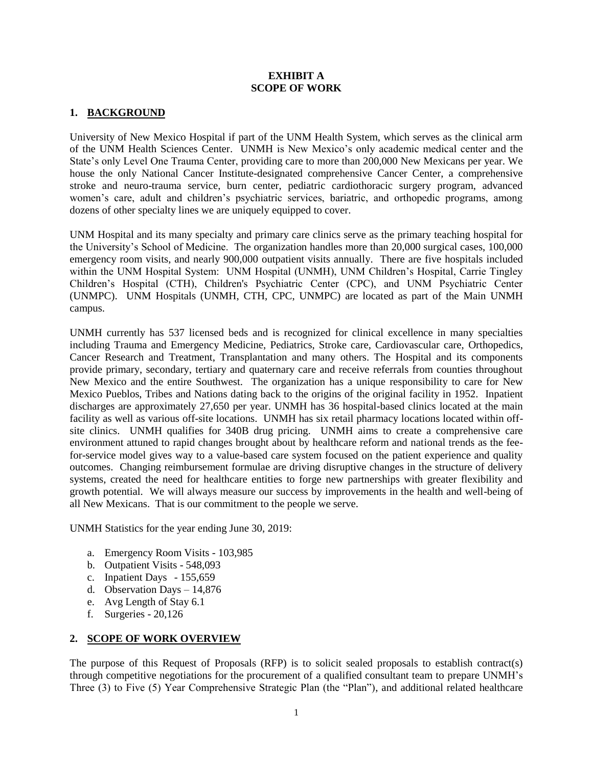### **EXHIBIT A SCOPE OF WORK**

# **1. BACKGROUND**

University of New Mexico Hospital if part of the UNM Health System, which serves as the clinical arm of the UNM Health Sciences Center. UNMH is New Mexico's only academic medical center and the State's only Level One Trauma Center, providing care to more than 200,000 New Mexicans per year. We house the only National Cancer Institute-designated comprehensive Cancer Center, a comprehensive stroke and neuro-trauma service, burn center, pediatric cardiothoracic surgery program, advanced women's care, adult and children's psychiatric services, bariatric, and orthopedic programs, among dozens of other specialty lines we are uniquely equipped to cover.

UNM Hospital and its many specialty and primary care clinics serve as the primary teaching hospital for the University's School of Medicine. The organization handles more than 20,000 surgical cases, 100,000 emergency room visits, and nearly 900,000 outpatient visits annually. There are five hospitals included within the UNM Hospital System: UNM Hospital (UNMH), UNM Children's Hospital, Carrie Tingley Children's Hospital (CTH), Children's Psychiatric Center (CPC), and UNM Psychiatric Center (UNMPC). UNM Hospitals (UNMH, CTH, CPC, UNMPC) are located as part of the Main UNMH campus.

UNMH currently has 537 licensed beds and is recognized for clinical excellence in many specialties including Trauma and Emergency Medicine, Pediatrics, Stroke care, Cardiovascular care, Orthopedics, Cancer Research and Treatment, Transplantation and many others. The Hospital and its components provide primary, secondary, tertiary and quaternary care and receive referrals from counties throughout New Mexico and the entire Southwest. The organization has a unique responsibility to care for New Mexico Pueblos, Tribes and Nations dating back to the origins of the original facility in 1952. Inpatient discharges are approximately 27,650 per year. UNMH has 36 hospital-based clinics located at the main facility as well as various off-site locations. UNMH has six retail pharmacy locations located within offsite clinics. UNMH qualifies for 340B drug pricing. UNMH aims to create a comprehensive care environment attuned to rapid changes brought about by healthcare reform and national trends as the feefor-service model gives way to a value-based care system focused on the patient experience and quality outcomes. Changing reimbursement formulae are driving disruptive changes in the structure of delivery systems, created the need for healthcare entities to forge new partnerships with greater flexibility and growth potential. We will always measure our success by improvements in the health and well-being of all New Mexicans. That is our commitment to the people we serve.

UNMH Statistics for the year ending June 30, 2019:

- a. Emergency Room Visits 103,985
- b. Outpatient Visits 548,093
- c. Inpatient Days 155,659
- d. Observation Days 14,876
- e. Avg Length of Stay 6.1
- f. Surgeries 20,126

#### **2. SCOPE OF WORK OVERVIEW**

The purpose of this Request of Proposals (RFP) is to solicit sealed proposals to establish contract(s) through competitive negotiations for the procurement of a qualified consultant team to prepare UNMH's Three (3) to Five (5) Year Comprehensive Strategic Plan (the "Plan"), and additional related healthcare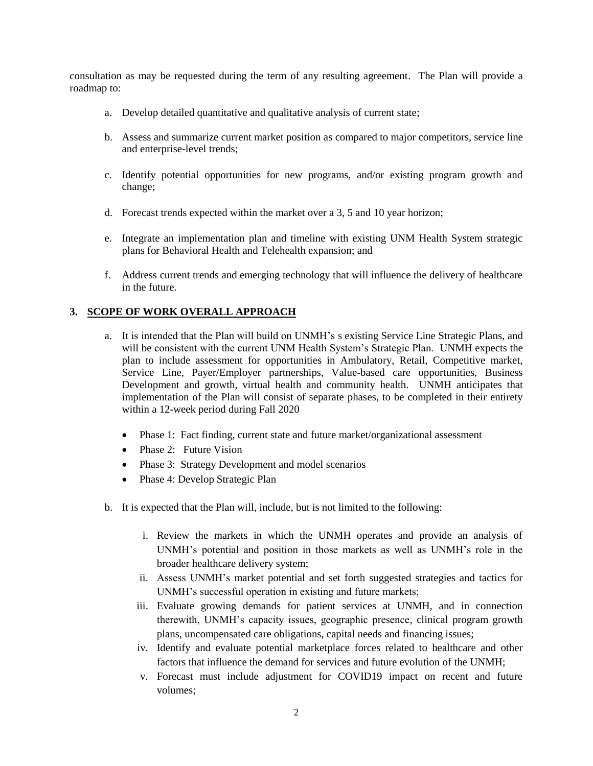consultation as may be requested during the term of any resulting agreement. The Plan will provide a roadmap to:

- a. Develop detailed quantitative and qualitative analysis of current state;
- b. Assess and summarize current market position as compared to major competitors, service line and enterprise-level trends;
- c. Identify potential opportunities for new programs, and/or existing program growth and change;
- d. Forecast trends expected within the market over a 3, 5 and 10 year horizon;
- e. Integrate an implementation plan and timeline with existing UNM Health System strategic plans for Behavioral Health and Telehealth expansion; and
- f. Address current trends and emerging technology that will influence the delivery of healthcare in the future.

# **3. SCOPE OF WORK OVERALL APPROACH**

- a. It is intended that the Plan will build on UNMH's s existing Service Line Strategic Plans, and will be consistent with the current UNM Health System's Strategic Plan. UNMH expects the plan to include assessment for opportunities in Ambulatory, Retail, Competitive market, Service Line, Payer/Employer partnerships, Value-based care opportunities, Business Development and growth, virtual health and community health. UNMH anticipates that implementation of the Plan will consist of separate phases, to be completed in their entirety within a 12-week period during Fall 2020
	- Phase 1: Fact finding, current state and future market/organizational assessment
	- Phase 2: Future Vision
	- Phase 3: Strategy Development and model scenarios
	- Phase 4: Develop Strategic Plan
- b. It is expected that the Plan will, include, but is not limited to the following:
	- i. Review the markets in which the UNMH operates and provide an analysis of UNMH's potential and position in those markets as well as UNMH's role in the broader healthcare delivery system;
	- ii. Assess UNMH's market potential and set forth suggested strategies and tactics for UNMH's successful operation in existing and future markets;
	- iii. Evaluate growing demands for patient services at UNMH, and in connection therewith, UNMH's capacity issues, geographic presence, clinical program growth plans, uncompensated care obligations, capital needs and financing issues;
	- iv. Identify and evaluate potential marketplace forces related to healthcare and other factors that influence the demand for services and future evolution of the UNMH;
	- v. Forecast must include adjustment for COVID19 impact on recent and future volumes;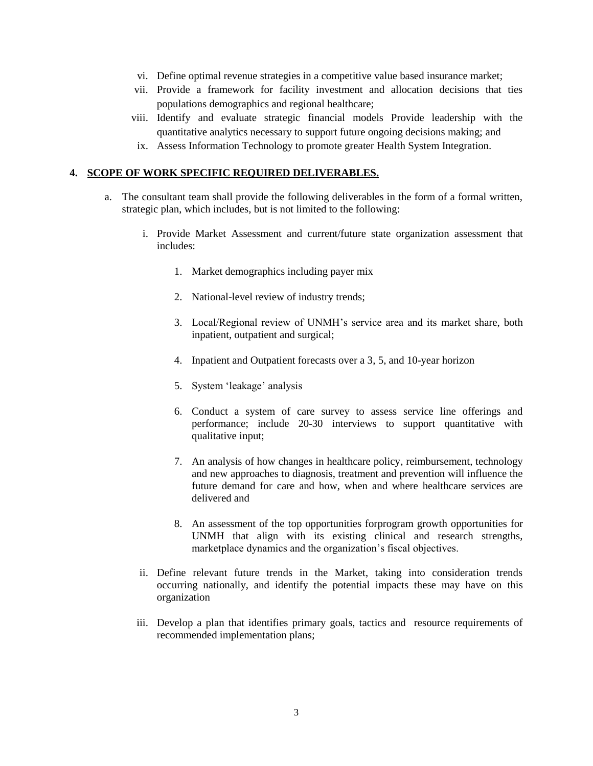- vi. Define optimal revenue strategies in a competitive value based insurance market;
- vii. Provide a framework for facility investment and allocation decisions that ties populations demographics and regional healthcare;
- viii. Identify and evaluate strategic financial models Provide leadership with the quantitative analytics necessary to support future ongoing decisions making; and
- ix. Assess Information Technology to promote greater Health System Integration.

## **4. SCOPE OF WORK SPECIFIC REQUIRED DELIVERABLES.**

- a. The consultant team shall provide the following deliverables in the form of a formal written, strategic plan, which includes, but is not limited to the following:
	- i. Provide Market Assessment and current/future state organization assessment that includes:
		- 1. Market demographics including payer mix
		- 2. National-level review of industry trends;
		- 3. Local/Regional review of UNMH's service area and its market share, both inpatient, outpatient and surgical;
		- 4. Inpatient and Outpatient forecasts over a 3, 5, and 10-year horizon
		- 5. System 'leakage' analysis
		- 6. Conduct a system of care survey to assess service line offerings and performance; include 20-30 interviews to support quantitative with qualitative input;
		- 7. An analysis of how changes in healthcare policy, reimbursement, technology and new approaches to diagnosis, treatment and prevention will influence the future demand for care and how, when and where healthcare services are delivered and
		- 8. An assessment of the top opportunities forprogram growth opportunities for UNMH that align with its existing clinical and research strengths, marketplace dynamics and the organization's fiscal objectives.
	- ii. Define relevant future trends in the Market, taking into consideration trends occurring nationally, and identify the potential impacts these may have on this organization
	- iii. Develop a plan that identifies primary goals, tactics and resource requirements of recommended implementation plans;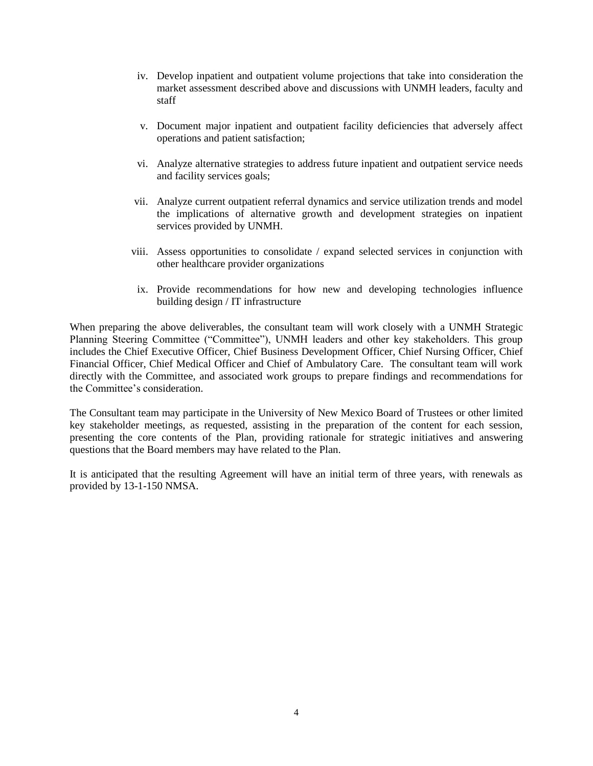- iv. Develop inpatient and outpatient volume projections that take into consideration the market assessment described above and discussions with UNMH leaders, faculty and staff
- v. Document major inpatient and outpatient facility deficiencies that adversely affect operations and patient satisfaction;
- vi. Analyze alternative strategies to address future inpatient and outpatient service needs and facility services goals;
- vii. Analyze current outpatient referral dynamics and service utilization trends and model the implications of alternative growth and development strategies on inpatient services provided by UNMH.
- viii. Assess opportunities to consolidate / expand selected services in conjunction with other healthcare provider organizations
- ix. Provide recommendations for how new and developing technologies influence building design / IT infrastructure

When preparing the above deliverables, the consultant team will work closely with a UNMH Strategic Planning Steering Committee ("Committee"), UNMH leaders and other key stakeholders. This group includes the Chief Executive Officer, Chief Business Development Officer, Chief Nursing Officer, Chief Financial Officer, Chief Medical Officer and Chief of Ambulatory Care. The consultant team will work directly with the Committee, and associated work groups to prepare findings and recommendations for the Committee's consideration.

The Consultant team may participate in the University of New Mexico Board of Trustees or other limited key stakeholder meetings, as requested, assisting in the preparation of the content for each session, presenting the core contents of the Plan, providing rationale for strategic initiatives and answering questions that the Board members may have related to the Plan.

It is anticipated that the resulting Agreement will have an initial term of three years, with renewals as provided by 13-1-150 NMSA.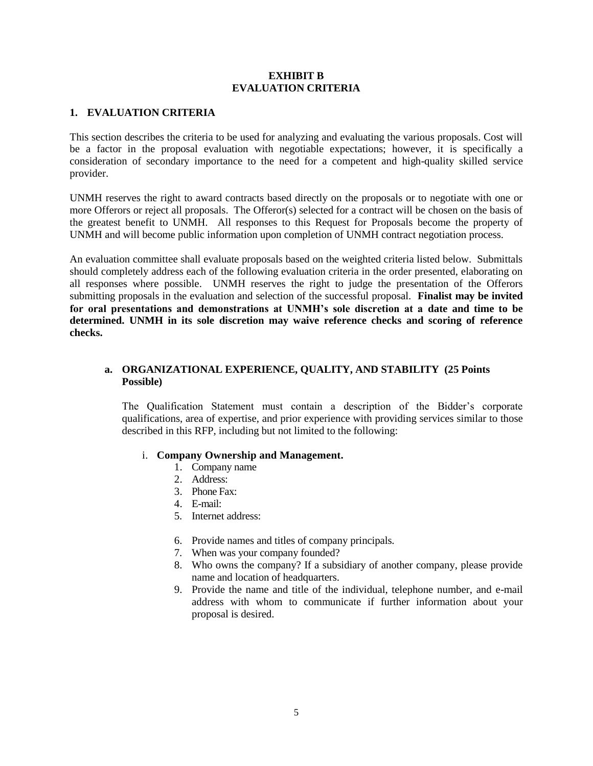## **EXHIBIT B EVALUATION CRITERIA**

# **1. EVALUATION CRITERIA**

This section describes the criteria to be used for analyzing and evaluating the various proposals. Cost will be a factor in the proposal evaluation with negotiable expectations; however, it is specifically a consideration of secondary importance to the need for a competent and high-quality skilled service provider.

UNMH reserves the right to award contracts based directly on the proposals or to negotiate with one or more Offerors or reject all proposals. The Offeror(s) selected for a contract will be chosen on the basis of the greatest benefit to UNMH. All responses to this Request for Proposals become the property of UNMH and will become public information upon completion of UNMH contract negotiation process.

An evaluation committee shall evaluate proposals based on the weighted criteria listed below. Submittals should completely address each of the following evaluation criteria in the order presented, elaborating on all responses where possible. UNMH reserves the right to judge the presentation of the Offerors submitting proposals in the evaluation and selection of the successful proposal. **Finalist may be invited for oral presentations and demonstrations at UNMH's sole discretion at a date and time to be determined. UNMH in its sole discretion may waive reference checks and scoring of reference checks.** 

# **a. ORGANIZATIONAL EXPERIENCE, QUALITY, AND STABILITY (25 Points Possible)**

The Qualification Statement must contain a description of the Bidder's corporate qualifications, area of expertise, and prior experience with providing services similar to those described in this RFP, including but not limited to the following:

## i. **Company Ownership and Management.**

- 1. Company name
- 2. Address:
- 3. Phone Fax:
- 4. E-mail:
- 5. Internet address:
- 6. Provide names and titles of company principals.
- 7. When was your company founded?
- 8. Who owns the company? If a subsidiary of another company, please provide name and location of headquarters.
- 9. Provide the name and title of the individual, telephone number, and e-mail address with whom to communicate if further information about your proposal is desired.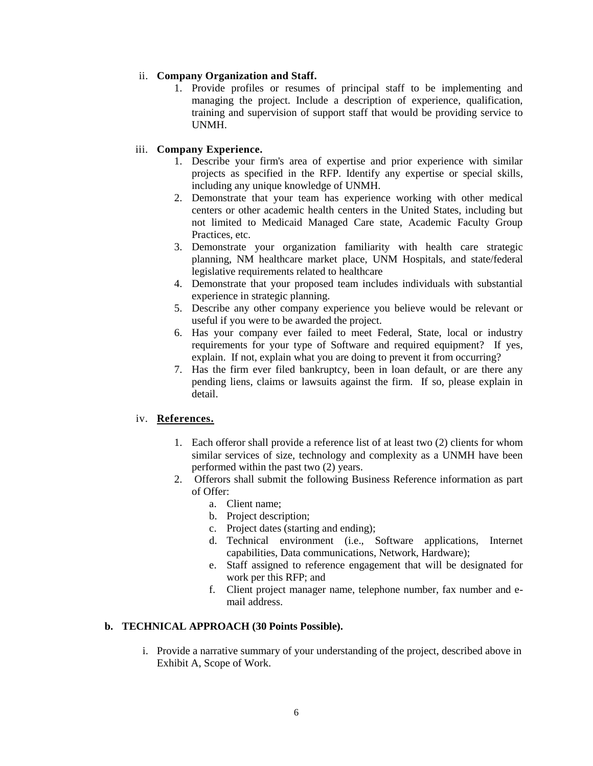## ii. **Company Organization and Staff.**

1. Provide profiles or resumes of principal staff to be implementing and managing the project. Include a description of experience, qualification, training and supervision of support staff that would be providing service to UNMH.

# iii. **Company Experience.**

- 1. Describe your firm's area of expertise and prior experience with similar projects as specified in the RFP. Identify any expertise or special skills, including any unique knowledge of UNMH.
- 2. Demonstrate that your team has experience working with other medical centers or other academic health centers in the United States, including but not limited to Medicaid Managed Care state, Academic Faculty Group Practices, etc.
- 3. Demonstrate your organization familiarity with health care strategic planning, NM healthcare market place, UNM Hospitals, and state/federal legislative requirements related to healthcare
- 4. Demonstrate that your proposed team includes individuals with substantial experience in strategic planning.
- 5. Describe any other company experience you believe would be relevant or useful if you were to be awarded the project.
- 6. Has your company ever failed to meet Federal, State, local or industry requirements for your type of Software and required equipment? If yes, explain. If not, explain what you are doing to prevent it from occurring?
- 7. Has the firm ever filed bankruptcy, been in loan default, or are there any pending liens, claims or lawsuits against the firm. If so, please explain in detail.

## iv. **References.**

- 1. Each offeror shall provide a reference list of at least two (2) clients for whom similar services of size, technology and complexity as a UNMH have been performed within the past two (2) years.
- 2. Offerors shall submit the following Business Reference information as part of Offer:
	- a. Client name;
	- b. Project description;
	- c. Project dates (starting and ending);
	- d. Technical environment (i.e., Software applications, Internet capabilities, Data communications, Network, Hardware);
	- e. Staff assigned to reference engagement that will be designated for work per this RFP; and
	- f. Client project manager name, telephone number, fax number and email address.

## **b. TECHNICAL APPROACH (30 Points Possible).**

i. Provide a narrative summary of your understanding of the project, described above in Exhibit A, Scope of Work.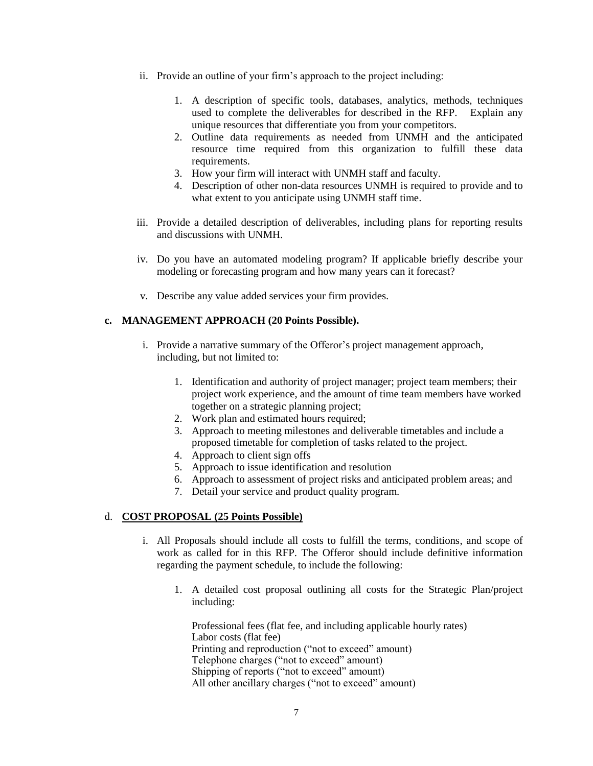- ii. Provide an outline of your firm's approach to the project including:
	- 1. A description of specific tools, databases, analytics, methods, techniques used to complete the deliverables for described in the RFP. Explain any unique resources that differentiate you from your competitors.
	- 2. Outline data requirements as needed from UNMH and the anticipated resource time required from this organization to fulfill these data requirements.
	- 3. How your firm will interact with UNMH staff and faculty.
	- 4. Description of other non-data resources UNMH is required to provide and to what extent to you anticipate using UNMH staff time.
- iii. Provide a detailed description of deliverables, including plans for reporting results and discussions with UNMH.
- iv. Do you have an automated modeling program? If applicable briefly describe your modeling or forecasting program and how many years can it forecast?
- v. Describe any value added services your firm provides.

## **c. MANAGEMENT APPROACH (20 Points Possible).**

- i. Provide a narrative summary of the Offeror's project management approach, including, but not limited to:
	- 1. Identification and authority of project manager; project team members; their project work experience, and the amount of time team members have worked together on a strategic planning project;
	- 2. Work plan and estimated hours required;
	- 3. Approach to meeting milestones and deliverable timetables and include a proposed timetable for completion of tasks related to the project.
	- 4. Approach to client sign offs
	- 5. Approach to issue identification and resolution
	- 6. Approach to assessment of project risks and anticipated problem areas; and
	- 7. Detail your service and product quality program.

## d. **COST PROPOSAL (25 Points Possible)**

- i. All Proposals should include all costs to fulfill the terms, conditions, and scope of work as called for in this RFP. The Offeror should include definitive information regarding the payment schedule, to include the following:
	- 1. A detailed cost proposal outlining all costs for the Strategic Plan/project including:

Professional fees (flat fee, and including applicable hourly rates) Labor costs (flat fee) Printing and reproduction ("not to exceed" amount) Telephone charges ("not to exceed" amount) Shipping of reports ("not to exceed" amount) All other ancillary charges ("not to exceed" amount)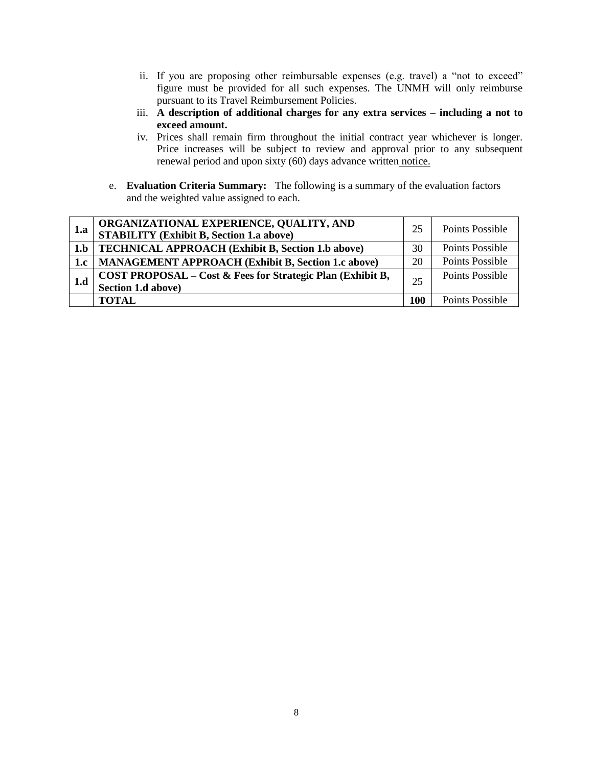- ii. If you are proposing other reimbursable expenses (e.g. travel) a "not to exceed" figure must be provided for all such expenses. The UNMH will only reimburse pursuant to its Travel Reimbursement Policies.
- iii. **A description of additional charges for any extra services – including a not to exceed amount.**
- iv. Prices shall remain firm throughout the initial contract year whichever is longer. Price increases will be subject to review and approval prior to any subsequent renewal period and upon sixty (60) days advance written notice.
- e. **Evaluation Criteria Summary:** The following is a summary of the evaluation factors and the weighted value assigned to each.

| 1.a | ORGANIZATIONAL EXPERIENCE, QUALITY, AND<br><b>STABILITY (Exhibit B, Section 1.a above)</b> | 25  | Points Possible        |
|-----|--------------------------------------------------------------------------------------------|-----|------------------------|
| 1.b | <b>TECHNICAL APPROACH (Exhibit B, Section 1.b above)</b>                                   | 30  | Points Possible        |
| 1.c | <b>MANAGEMENT APPROACH (Exhibit B, Section 1.c above)</b>                                  | 20  | <b>Points Possible</b> |
| 1.d | COST PROPOSAL - Cost & Fees for Strategic Plan (Exhibit B,<br>Section 1.d above)           | 25  | Points Possible        |
|     | <b>TOTAL</b>                                                                               | 100 | Points Possible        |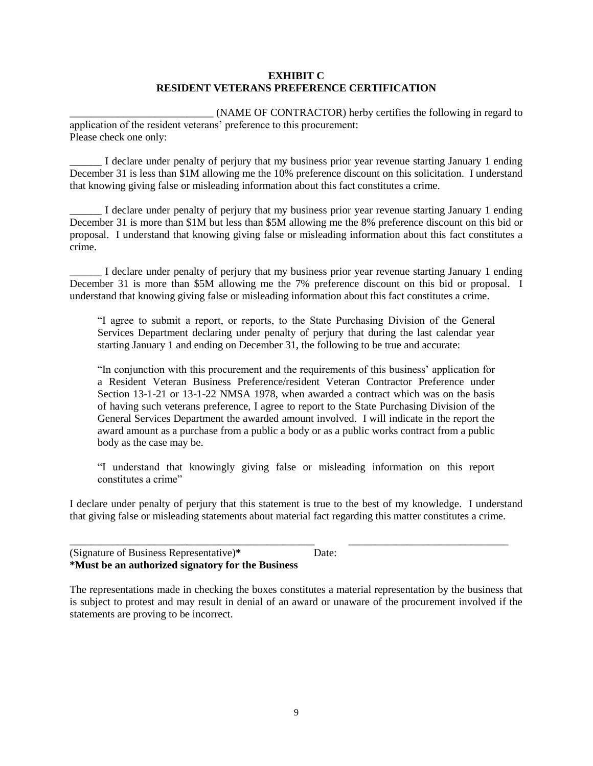### **EXHIBIT C RESIDENT VETERANS PREFERENCE CERTIFICATION**

\_\_\_\_\_\_\_\_\_\_\_\_\_\_\_\_\_\_\_\_\_\_\_\_\_\_\_ (NAME OF CONTRACTOR) herby certifies the following in regard to application of the resident veterans' preference to this procurement: Please check one only:

I declare under penalty of perjury that my business prior year revenue starting January 1 ending December 31 is less than \$1M allowing me the 10% preference discount on this solicitation. I understand that knowing giving false or misleading information about this fact constitutes a crime.

\_\_\_\_\_\_ I declare under penalty of perjury that my business prior year revenue starting January 1 ending December 31 is more than \$1M but less than \$5M allowing me the 8% preference discount on this bid or proposal. I understand that knowing giving false or misleading information about this fact constitutes a crime.

\_\_\_\_\_\_ I declare under penalty of perjury that my business prior year revenue starting January 1 ending December 31 is more than \$5M allowing me the 7% preference discount on this bid or proposal. I understand that knowing giving false or misleading information about this fact constitutes a crime.

"I agree to submit a report, or reports, to the State Purchasing Division of the General Services Department declaring under penalty of perjury that during the last calendar year starting January 1 and ending on December 31, the following to be true and accurate:

"In conjunction with this procurement and the requirements of this business' application for a Resident Veteran Business Preference/resident Veteran Contractor Preference under Section 13-1-21 or 13-1-22 NMSA 1978, when awarded a contract which was on the basis of having such veterans preference, I agree to report to the State Purchasing Division of the General Services Department the awarded amount involved. I will indicate in the report the award amount as a purchase from a public a body or as a public works contract from a public body as the case may be.

"I understand that knowingly giving false or misleading information on this report constitutes a crime"

I declare under penalty of perjury that this statement is true to the best of my knowledge. I understand that giving false or misleading statements about material fact regarding this matter constitutes a crime.

\_\_\_\_\_\_\_\_\_\_\_\_\_\_\_\_\_\_\_\_\_\_\_\_\_\_\_\_\_\_\_\_\_\_\_\_\_\_\_\_\_\_\_\_\_\_ \_\_\_\_\_\_\_\_\_\_\_\_\_\_\_\_\_\_\_\_\_\_\_\_\_\_\_\_\_\_

| (Signature of Business Representative)*           | Date: |
|---------------------------------------------------|-------|
| *Must be an authorized signatory for the Business |       |

The representations made in checking the boxes constitutes a material representation by the business that is subject to protest and may result in denial of an award or unaware of the procurement involved if the statements are proving to be incorrect.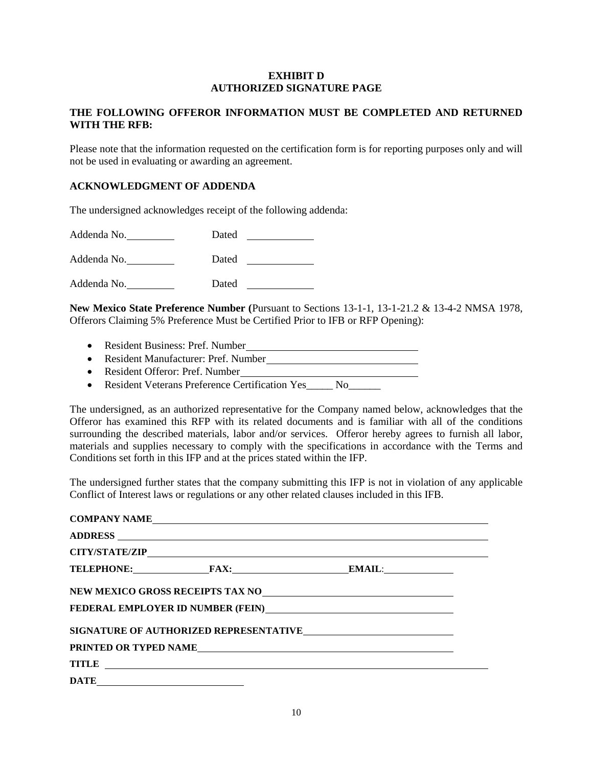## **EXHIBIT D AUTHORIZED SIGNATURE PAGE**

# **THE FOLLOWING OFFEROR INFORMATION MUST BE COMPLETED AND RETURNED WITH THE RFB:**

Please note that the information requested on the certification form is for reporting purposes only and will not be used in evaluating or awarding an agreement.

# **ACKNOWLEDGMENT OF ADDENDA**

The undersigned acknowledges receipt of the following addenda:

Addenda No. Dated Addenda No. Dated Addenda No. Dated

**New Mexico State Preference Number (**Pursuant to Sections 13-1-1, 13-1-21.2 & 13-4-2 NMSA 1978, Offerors Claiming 5% Preference Must be Certified Prior to IFB or RFP Opening):

- Resident Business: Pref. Number
- Resident Manufacturer: Pref. Number
- Resident Offeror: Pref. Number
- Resident Veterans Preference Certification Yes No

The undersigned, as an authorized representative for the Company named below, acknowledges that the Offeror has examined this RFP with its related documents and is familiar with all of the conditions surrounding the described materials, labor and/or services. Offeror hereby agrees to furnish all labor, materials and supplies necessary to comply with the specifications in accordance with the Terms and Conditions set forth in this IFP and at the prices stated within the IFP.

The undersigned further states that the company submitting this IFP is not in violation of any applicable Conflict of Interest laws or regulations or any other related clauses included in this IFB.

| COMPANY NAME                                                                                                                                                                                                                                                                                                                                                                                                                                                                                                                                                                                               |                                                                               |  |
|------------------------------------------------------------------------------------------------------------------------------------------------------------------------------------------------------------------------------------------------------------------------------------------------------------------------------------------------------------------------------------------------------------------------------------------------------------------------------------------------------------------------------------------------------------------------------------------------------------|-------------------------------------------------------------------------------|--|
|                                                                                                                                                                                                                                                                                                                                                                                                                                                                                                                                                                                                            |                                                                               |  |
|                                                                                                                                                                                                                                                                                                                                                                                                                                                                                                                                                                                                            |                                                                               |  |
|                                                                                                                                                                                                                                                                                                                                                                                                                                                                                                                                                                                                            | TELEPHONE: FAX: EMAIL:                                                        |  |
|                                                                                                                                                                                                                                                                                                                                                                                                                                                                                                                                                                                                            |                                                                               |  |
|                                                                                                                                                                                                                                                                                                                                                                                                                                                                                                                                                                                                            | FEDERAL EMPLOYER ID NUMBER (FEIN)<br><u>FEDERAL EMPLOYER ID NUMBER (FEIN)</u> |  |
|                                                                                                                                                                                                                                                                                                                                                                                                                                                                                                                                                                                                            | SIGNATURE OF AUTHORIZED REPRESENTATIVE                                        |  |
|                                                                                                                                                                                                                                                                                                                                                                                                                                                                                                                                                                                                            | PRINTED OR TYPED NAME                                                         |  |
| $\text{TITLE} \text{ \underline{\hspace{1cm}}\underline{\hspace{1cm}}\underline{\hspace{1cm}}\underline{\hspace{1cm}}\underline{\hspace{1cm}}\underline{\hspace{1cm}}\underline{\hspace{1cm}}\underline{\hspace{1cm}}\underline{\hspace{1cm}}\underline{\hspace{1cm}}\underline{\hspace{1cm}}\underline{\hspace{1cm}}\underline{\hspace{1cm}}\underline{\hspace{1cm}}\underline{\hspace{1cm}}\underline{\hspace{1cm}}\underline{\hspace{1cm}}\underline{\hspace{1cm}}\underline{\hspace{1cm}}\underline{\hspace{1cm}}\underline{\hspace{1cm}}\underline{\hspace{1cm}}\underline{\hspace{1cm}}\underline{\$ |                                                                               |  |
|                                                                                                                                                                                                                                                                                                                                                                                                                                                                                                                                                                                                            |                                                                               |  |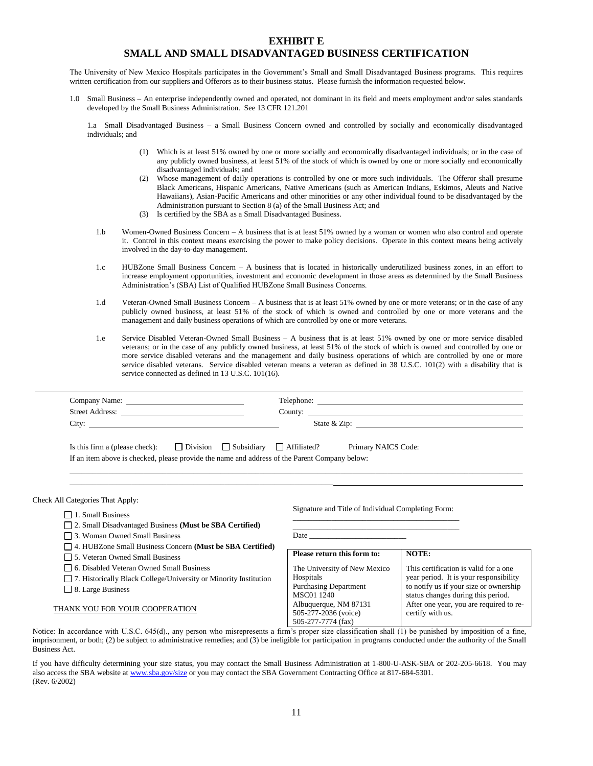#### **EXHIBIT E SMALL AND SMALL DISADVANTAGED BUSINESS CERTIFICATION**

The University of New Mexico Hospitals participates in the Government's Small and Small Disadvantaged Business programs. This requires written certification from our suppliers and Offerors as to their business status. Please furnish the information requested below.

1.0 Small Business – An enterprise independently owned and operated, not dominant in its field and meets employment and/or sales standards developed by the Small Business Administration. See 13 CFR 121.201

1.a Small Disadvantaged Business – a Small Business Concern owned and controlled by socially and economically disadvantaged individuals; and

- (1) Which is at least 51% owned by one or more socially and economically disadvantaged individuals; or in the case of any publicly owned business, at least 51% of the stock of which is owned by one or more socially and economically disadvantaged individuals; and
- Whose management of daily operations is controlled by one or more such individuals. The Offeror shall presume Black Americans, Hispanic Americans, Native Americans (such as American Indians, Eskimos, Aleuts and Native Hawaiians), Asian-Pacific Americans and other minorities or any other individual found to be disadvantaged by the Administration pursuant to Section 8 (a) of the Small Business Act; and
- (3) Is certified by the SBA as a Small Disadvantaged Business.
- 1.b Women-Owned Business Concern A business that is at least 51% owned by a woman or women who also control and operate it. Control in this context means exercising the power to make policy decisions. Operate in this context means being actively involved in the day-to-day management.
- 1.c HUBZone Small Business Concern A business that is located in historically underutilized business zones, in an effort to increase employment opportunities, investment and economic development in those areas as determined by the Small Business Administration's (SBA) List of Qualified HUBZone Small Business Concerns.
- 1.d Veteran-Owned Small Business Concern A business that is at least 51% owned by one or more veterans; or in the case of any publicly owned business, at least 51% of the stock of which is owned and controlled by one or more veterans and the management and daily business operations of which are controlled by one or more veterans.
- 1.e Service Disabled Veteran-Owned Small Business A business that is at least 51% owned by one or more service disabled veterans; or in the case of any publicly owned business, at least 51% of the stock of which is owned and controlled by one or more service disabled veterans and the management and daily business operations of which are controlled by one or more service disabled veterans. Service disabled veteran means a veteran as defined in 38 U.S.C. 101(2) with a disability that is service connected as defined in 13 U.S.C. 101(16).

|                                                                                               | County:                                                  |
|-----------------------------------------------------------------------------------------------|----------------------------------------------------------|
|                                                                                               |                                                          |
| Is this firm a (please check): $\Box$ Division $\Box$ Subsidiary $\Box$ Affiliated?           | Primary NAICS Code:                                      |
| If an item above is checked, please provide the name and address of the Parent Company below: |                                                          |
|                                                                                               |                                                          |
|                                                                                               |                                                          |
|                                                                                               |                                                          |
| <b>Check All Categories That Apply:</b>                                                       |                                                          |
| $\Box$ 1. Small Business                                                                      | Signature and Title of Individual Completing Form:       |
| $\Box$ 2. Small Disadvantaged Business (Must be SBA Certified)                                | <u> 1989 - Johann John Stein, marwolaethau (b. 1989)</u> |

- 4. HUBZone Small Business Concern **(Must be SBA Certified)**
- 5. Veteran Owned Small Business
- 6. Disabled Veteran Owned Small Business
- 7. Historically Black College/University or Minority Institution
- □ 8. Large Business

#### THANK YOU FOR YOUR COOPERATION

| Please return this form to:  | NOTE:                                   |
|------------------------------|-----------------------------------------|
| The University of New Mexico | This certification is valid for a one   |
| Hospitals                    | year period. It is your responsibility  |
| <b>Purchasing Department</b> | to notify us if your size or ownership  |
| <b>MSC01 1240</b>            | status changes during this period.      |
| Albuquerque, NM 87131        | After one year, you are required to re- |
| 505-277-2036 (voice)         | certify with us.                        |
| 505-277-7774 (fax)           |                                         |

Notice: In accordance with U.S.C. 645(d)., any person who misrepresents a firm's proper size classification shall (1) be punished by imposition of a fine, imprisonment, or both; (2) be subject to administrative remedies; and (3) be ineligible for participation in programs conducted under the authority of the Small Business Act.

If you have difficulty determining your size status, you may contact the Small Business Administration at 1-800-U-ASK-SBA or 202-205-6618. You may also access the SBA website a[t www.sba.gov/size](http://www.sba.gov/size) or you may contact the SBA Government Contracting Office at 817-684-5301. (Rev. 6/2002)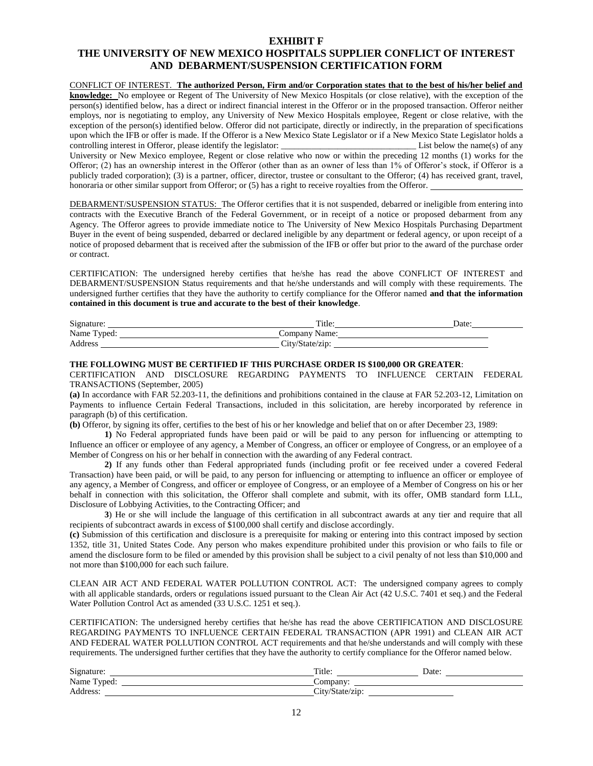#### **EXHIBIT F**

# **THE UNIVERSITY OF NEW MEXICO HOSPITALS SUPPLIER CONFLICT OF INTEREST AND DEBARMENT/SUSPENSION CERTIFICATION FORM**

# CONFLICT OF INTEREST. **The authorized Person, Firm and/or Corporation states that to the best of his/her belief and knowledge:** No employee or Regent of The University of New Mexico Hospitals (or close relative), with the exception of the

person(s) identified below, has a direct or indirect financial interest in the Offeror or in the proposed transaction. Offeror neither employs, nor is negotiating to employ, any University of New Mexico Hospitals employee, Regent or close relative, with the exception of the person(s) identified below. Offeror did not participate, directly or indirectly, in the preparation of specifications upon which the IFB or offer is made. If the Offeror is a New Mexico State Legislator or if a New Mexico State Legislator holds a controlling interest in Offeror, please identify the legislator: List below the name(s) of any University or New Mexico employee, Regent or close relative who now or within the preceding 12 months (1) works for the Offeror; (2) has an ownership interest in the Offeror (other than as an owner of less than 1% of Offeror's stock, if Offeror is a publicly traded corporation); (3) is a partner, officer, director, trustee or consultant to the Offeror; (4) has received grant, travel, honoraria or other similar support from Offeror; or (5) has a right to receive royalties from the Offeror.

DEBARMENT/SUSPENSION STATUS: The Offeror certifies that it is not suspended, debarred or ineligible from entering into contracts with the Executive Branch of the Federal Government, or in receipt of a notice or proposed debarment from any Agency. The Offeror agrees to provide immediate notice to The University of New Mexico Hospitals Purchasing Department Buyer in the event of being suspended, debarred or declared ineligible by any department or federal agency, or upon receipt of a notice of proposed debarment that is received after the submission of the IFB or offer but prior to the award of the purchase order or contract.

CERTIFICATION: The undersigned hereby certifies that he/she has read the above CONFLICT OF INTEREST and DEBARMENT/SUSPENSION Status requirements and that he/she understands and will comply with these requirements. The undersigned further certifies that they have the authority to certify compliance for the Offeror named **and that the information contained in this document is true and accurate to the best of their knowledge**.

| Signature:      | Title            | Date |
|-----------------|------------------|------|
| Name<br>l'vped: | Company<br>Name: |      |
| Address         | r.<br>∟itv′      |      |

#### **THE FOLLOWING MUST BE CERTIFIED IF THIS PURCHASE ORDER IS \$100,000 OR GREATER**:

CERTIFICATION AND DISCLOSURE REGARDING PAYMENTS TO INFLUENCE CERTAIN FEDERAL TRANSACTIONS (September, 2005)

**(a)** In accordance with FAR 52.203-11, the definitions and prohibitions contained in the clause at FAR 52.203-12, Limitation on Payments to influence Certain Federal Transactions, included in this solicitation, are hereby incorporated by reference in paragraph (b) of this certification.

**(b)** Offeror, by signing its offer, certifies to the best of his or her knowledge and belief that on or after December 23, 1989:

**1)** No Federal appropriated funds have been paid or will be paid to any person for influencing or attempting to Influence an officer or employee of any agency, a Member of Congress, an officer or employee of Congress, or an employee of a Member of Congress on his or her behalf in connection with the awarding of any Federal contract.

**2)** If any funds other than Federal appropriated funds (including profit or fee received under a covered Federal Transaction) have been paid, or will be paid, to any person for influencing or attempting to influence an officer or employee of any agency, a Member of Congress, and officer or employee of Congress, or an employee of a Member of Congress on his or her behalf in connection with this solicitation, the Offeror shall complete and submit, with its offer, OMB standard form LLL, Disclosure of Lobbying Activities, to the Contracting Officer; and

**3**) He or she will include the language of this certification in all subcontract awards at any tier and require that all recipients of subcontract awards in excess of \$100,000 shall certify and disclose accordingly.

**(c)** Submission of this certification and disclosure is a prerequisite for making or entering into this contract imposed by section 1352, title 31, United States Code. Any person who makes expenditure prohibited under this provision or who fails to file or amend the disclosure form to be filed or amended by this provision shall be subject to a civil penalty of not less than \$10,000 and not more than \$100,000 for each such failure.

CLEAN AIR ACT AND FEDERAL WATER POLLUTION CONTROL ACT: The undersigned company agrees to comply with all applicable standards, orders or regulations issued pursuant to the Clean Air Act (42 U.S.C. 7401 et seq.) and the Federal Water Pollution Control Act as amended (33 U.S.C. 1251 et seq.).

CERTIFICATION: The undersigned hereby certifies that he/she has read the above CERTIFICATION AND DISCLOSURE REGARDING PAYMENTS TO INFLUENCE CERTAIN FEDERAL TRANSACTION (APR 1991) and CLEAN AIR ACT AND FEDERAL WATER POLLUTION CONTROL ACT requirements and that he/she understands and will comply with these requirements. The undersigned further certifies that they have the authority to certify compliance for the Offeror named below.

| Signature:    | Title.   | Date |
|---------------|----------|------|
| Name<br>vped. | Company. |      |
| Address.      | $\sim$   |      |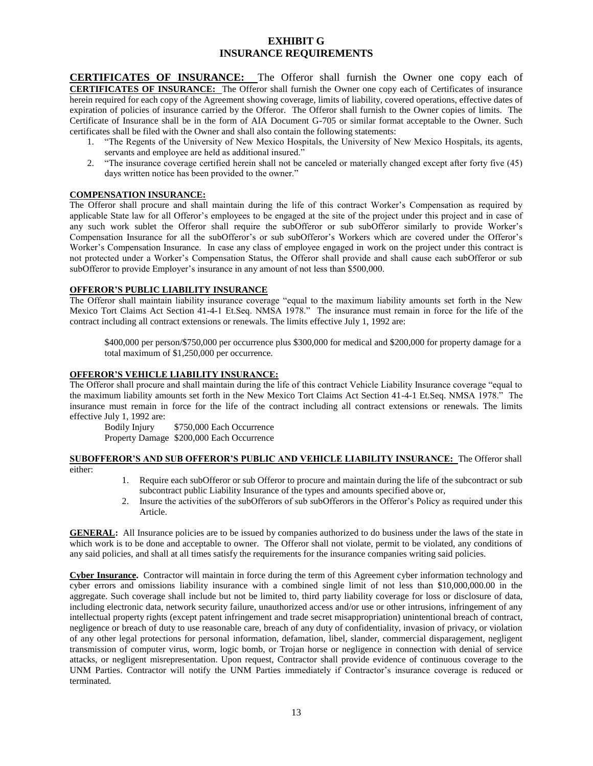## **EXHIBIT G INSURANCE REQUIREMENTS**

**CERTIFICATES OF INSURANCE:** The Offeror shall furnish the Owner one copy each of **CERTIFICATES OF INSURANCE:** The Offeror shall furnish the Owner one copy each of Certificates of insurance herein required for each copy of the Agreement showing coverage, limits of liability, covered operations, effective dates of expiration of policies of insurance carried by the Offeror. The Offeror shall furnish to the Owner copies of limits. The Certificate of Insurance shall be in the form of AIA Document G-705 or similar format acceptable to the Owner. Such certificates shall be filed with the Owner and shall also contain the following statements:

- 1. "The Regents of the University of New Mexico Hospitals, the University of New Mexico Hospitals, its agents, servants and employee are held as additional insured."
- 2. "The insurance coverage certified herein shall not be canceled or materially changed except after forty five (45) days written notice has been provided to the owner."

#### **COMPENSATION INSURANCE:**

The Offeror shall procure and shall maintain during the life of this contract Worker's Compensation as required by applicable State law for all Offeror's employees to be engaged at the site of the project under this project and in case of any such work sublet the Offeror shall require the subOfferor or sub subOfferor similarly to provide Worker's Compensation Insurance for all the subOfferor's or sub subOfferor's Workers which are covered under the Offeror's Worker's Compensation Insurance. In case any class of employee engaged in work on the project under this contract is not protected under a Worker's Compensation Status, the Offeror shall provide and shall cause each subOfferor or sub subOfferor to provide Employer's insurance in any amount of not less than \$500,000.

### **OFFEROR'S PUBLIC LIABILITY INSURANCE**

The Offeror shall maintain liability insurance coverage "equal to the maximum liability amounts set forth in the New Mexico Tort Claims Act Section 41-4-1 Et.Seq. NMSA 1978." The insurance must remain in force for the life of the contract including all contract extensions or renewals. The limits effective July 1, 1992 are:

\$400,000 per person/\$750,000 per occurrence plus \$300,000 for medical and \$200,000 for property damage for a total maximum of \$1,250,000 per occurrence.

#### **OFFEROR'S VEHICLE LIABILITY INSURANCE:**

The Offeror shall procure and shall maintain during the life of this contract Vehicle Liability Insurance coverage "equal to the maximum liability amounts set forth in the New Mexico Tort Claims Act Section 41-4-1 Et.Seq. NMSA 1978." The insurance must remain in force for the life of the contract including all contract extensions or renewals. The limits effective July 1, 1992 are:

Bodily Injury \$750,000 Each Occurrence Property Damage \$200,000 Each Occurrence

**SUBOFFEROR'S AND SUB OFFEROR'S PUBLIC AND VEHICLE LIABILITY INSURANCE:** The Offeror shall either:

- 1. Require each subOfferor or sub Offeror to procure and maintain during the life of the subcontract or sub subcontract public Liability Insurance of the types and amounts specified above or,
- 2. Insure the activities of the subOfferors of sub subOfferors in the Offeror's Policy as required under this Article.

**GENERAL:** All Insurance policies are to be issued by companies authorized to do business under the laws of the state in which work is to be done and acceptable to owner. The Offeror shall not violate, permit to be violated, any conditions of any said policies, and shall at all times satisfy the requirements for the insurance companies writing said policies.

**Cyber Insurance.** Contractor will maintain in force during the term of this Agreement cyber information technology and cyber errors and omissions liability insurance with a combined single limit of not less than \$10,000,000.00 in the aggregate. Such coverage shall include but not be limited to, third party liability coverage for loss or disclosure of data, including electronic data, network security failure, unauthorized access and/or use or other intrusions, infringement of any intellectual property rights (except patent infringement and trade secret misappropriation) unintentional breach of contract, negligence or breach of duty to use reasonable care, breach of any duty of confidentiality, invasion of privacy, or violation of any other legal protections for personal information, defamation, libel, slander, commercial disparagement, negligent transmission of computer virus, worm, logic bomb, or Trojan horse or negligence in connection with denial of service attacks, or negligent misrepresentation. Upon request, Contractor shall provide evidence of continuous coverage to the UNM Parties. Contractor will notify the UNM Parties immediately if Contractor's insurance coverage is reduced or terminated.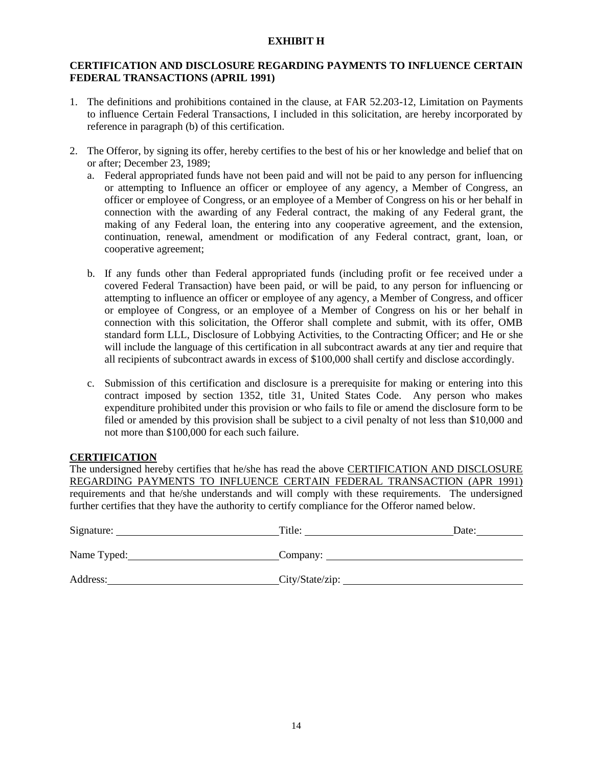## **EXHIBIT H**

# **CERTIFICATION AND DISCLOSURE REGARDING PAYMENTS TO INFLUENCE CERTAIN FEDERAL TRANSACTIONS (APRIL 1991)**

- 1. The definitions and prohibitions contained in the clause, at FAR 52.203-12, Limitation on Payments to influence Certain Federal Transactions, I included in this solicitation, are hereby incorporated by reference in paragraph (b) of this certification.
- 2. The Offeror, by signing its offer, hereby certifies to the best of his or her knowledge and belief that on or after; December 23, 1989;
	- a. Federal appropriated funds have not been paid and will not be paid to any person for influencing or attempting to Influence an officer or employee of any agency, a Member of Congress, an officer or employee of Congress, or an employee of a Member of Congress on his or her behalf in connection with the awarding of any Federal contract, the making of any Federal grant, the making of any Federal loan, the entering into any cooperative agreement, and the extension, continuation, renewal, amendment or modification of any Federal contract, grant, loan, or cooperative agreement;
	- b. If any funds other than Federal appropriated funds (including profit or fee received under a covered Federal Transaction) have been paid, or will be paid, to any person for influencing or attempting to influence an officer or employee of any agency, a Member of Congress, and officer or employee of Congress, or an employee of a Member of Congress on his or her behalf in connection with this solicitation, the Offeror shall complete and submit, with its offer, OMB standard form LLL, Disclosure of Lobbying Activities, to the Contracting Officer; and He or she will include the language of this certification in all subcontract awards at any tier and require that all recipients of subcontract awards in excess of \$100,000 shall certify and disclose accordingly.
	- c. Submission of this certification and disclosure is a prerequisite for making or entering into this contract imposed by section 1352, title 31, United States Code. Any person who makes expenditure prohibited under this provision or who fails to file or amend the disclosure form to be filed or amended by this provision shall be subject to a civil penalty of not less than \$10,000 and not more than \$100,000 for each such failure.

# **CERTIFICATION**

The undersigned hereby certifies that he/she has read the above CERTIFICATION AND DISCLOSURE REGARDING PAYMENTS TO INFLUENCE CERTAIN FEDERAL TRANSACTION (APR 1991) requirements and that he/she understands and will comply with these requirements. The undersigned further certifies that they have the authority to certify compliance for the Offeror named below.

| Signature:  | Title:          | Date: |
|-------------|-----------------|-------|
| Name Typed: | Company:        |       |
| Address:    | City/State/zip: |       |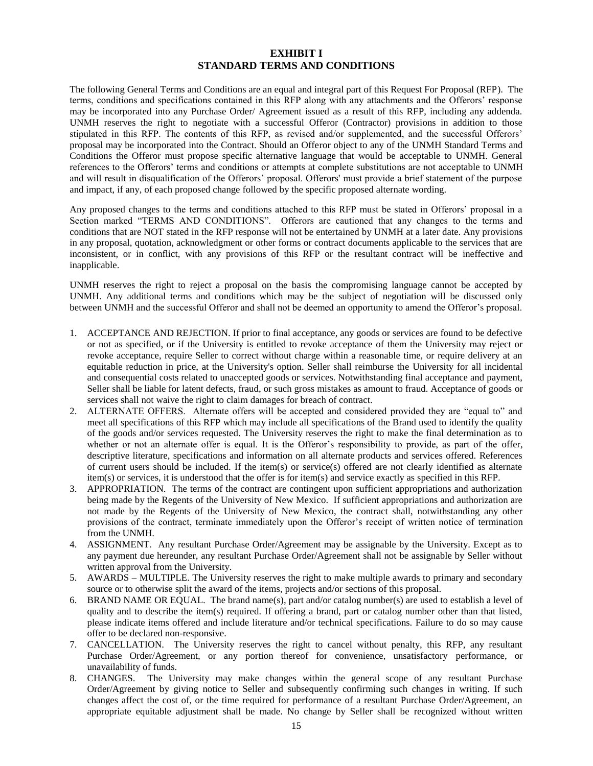#### **EXHIBIT I STANDARD TERMS AND CONDITIONS**

The following General Terms and Conditions are an equal and integral part of this Request For Proposal (RFP). The terms, conditions and specifications contained in this RFP along with any attachments and the Offerors' response may be incorporated into any Purchase Order/ Agreement issued as a result of this RFP, including any addenda. UNMH reserves the right to negotiate with a successful Offeror (Contractor) provisions in addition to those stipulated in this RFP. The contents of this RFP, as revised and/or supplemented, and the successful Offerors' proposal may be incorporated into the Contract. Should an Offeror object to any of the UNMH Standard Terms and Conditions the Offeror must propose specific alternative language that would be acceptable to UNMH. General references to the Offerors' terms and conditions or attempts at complete substitutions are not acceptable to UNMH and will result in disqualification of the Offerors' proposal. Offerors' must provide a brief statement of the purpose and impact, if any, of each proposed change followed by the specific proposed alternate wording.

Any proposed changes to the terms and conditions attached to this RFP must be stated in Offerors' proposal in a Section marked "TERMS AND CONDITIONS". Offerors are cautioned that any changes to the terms and conditions that are NOT stated in the RFP response will not be entertained by UNMH at a later date. Any provisions in any proposal, quotation, acknowledgment or other forms or contract documents applicable to the services that are inconsistent, or in conflict, with any provisions of this RFP or the resultant contract will be ineffective and inapplicable.

UNMH reserves the right to reject a proposal on the basis the compromising language cannot be accepted by UNMH. Any additional terms and conditions which may be the subject of negotiation will be discussed only between UNMH and the successful Offeror and shall not be deemed an opportunity to amend the Offeror's proposal.

- 1. ACCEPTANCE AND REJECTION. If prior to final acceptance, any goods or services are found to be defective or not as specified, or if the University is entitled to revoke acceptance of them the University may reject or revoke acceptance, require Seller to correct without charge within a reasonable time, or require delivery at an equitable reduction in price, at the University's option. Seller shall reimburse the University for all incidental and consequential costs related to unaccepted goods or services. Notwithstanding final acceptance and payment, Seller shall be liable for latent defects, fraud, or such gross mistakes as amount to fraud. Acceptance of goods or services shall not waive the right to claim damages for breach of contract.
- 2. ALTERNATE OFFERS. Alternate offers will be accepted and considered provided they are "equal to" and meet all specifications of this RFP which may include all specifications of the Brand used to identify the quality of the goods and/or services requested. The University reserves the right to make the final determination as to whether or not an alternate offer is equal. It is the Offeror's responsibility to provide, as part of the offer, descriptive literature, specifications and information on all alternate products and services offered. References of current users should be included. If the item(s) or service(s) offered are not clearly identified as alternate item(s) or services, it is understood that the offer is for item(s) and service exactly as specified in this RFP.
- 3. APPROPRIATION. The terms of the contract are contingent upon sufficient appropriations and authorization being made by the Regents of the University of New Mexico. If sufficient appropriations and authorization are not made by the Regents of the University of New Mexico, the contract shall, notwithstanding any other provisions of the contract, terminate immediately upon the Offeror's receipt of written notice of termination from the UNMH.
- 4. ASSIGNMENT. Any resultant Purchase Order/Agreement may be assignable by the University. Except as to any payment due hereunder, any resultant Purchase Order/Agreement shall not be assignable by Seller without written approval from the University.
- 5. AWARDS MULTIPLE. The University reserves the right to make multiple awards to primary and secondary source or to otherwise split the award of the items, projects and/or sections of this proposal.
- 6. BRAND NAME OR EQUAL. The brand name(s), part and/or catalog number(s) are used to establish a level of quality and to describe the item(s) required. If offering a brand, part or catalog number other than that listed, please indicate items offered and include literature and/or technical specifications. Failure to do so may cause offer to be declared non-responsive.
- 7. CANCELLATION. The University reserves the right to cancel without penalty, this RFP, any resultant Purchase Order/Agreement, or any portion thereof for convenience, unsatisfactory performance, or unavailability of funds.
- 8. CHANGES. The University may make changes within the general scope of any resultant Purchase Order/Agreement by giving notice to Seller and subsequently confirming such changes in writing. If such changes affect the cost of, or the time required for performance of a resultant Purchase Order/Agreement, an appropriate equitable adjustment shall be made. No change by Seller shall be recognized without written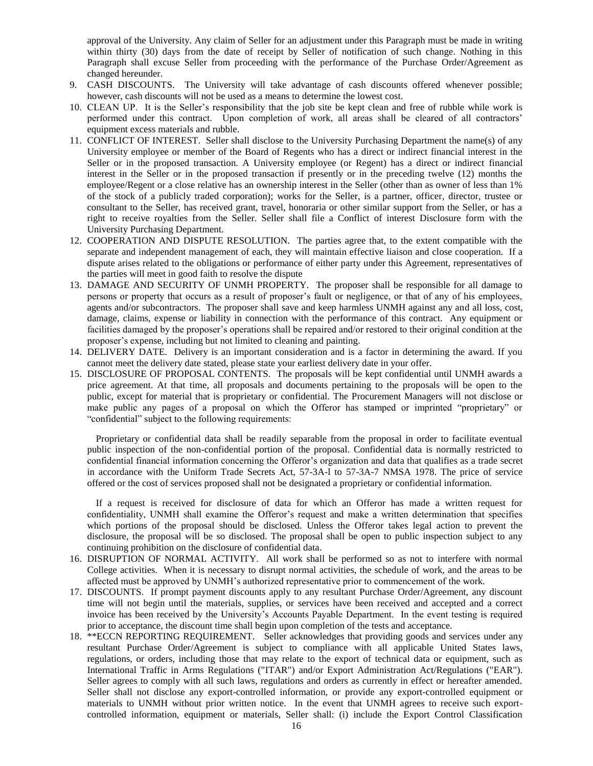approval of the University. Any claim of Seller for an adjustment under this Paragraph must be made in writing within thirty (30) days from the date of receipt by Seller of notification of such change. Nothing in this Paragraph shall excuse Seller from proceeding with the performance of the Purchase Order/Agreement as changed hereunder.

- 9. CASH DISCOUNTS. The University will take advantage of cash discounts offered whenever possible; however, cash discounts will not be used as a means to determine the lowest cost.
- 10. CLEAN UP. It is the Seller's responsibility that the job site be kept clean and free of rubble while work is performed under this contract. Upon completion of work, all areas shall be cleared of all contractors' equipment excess materials and rubble.
- 11. CONFLICT OF INTEREST. Seller shall disclose to the University Purchasing Department the name(s) of any University employee or member of the Board of Regents who has a direct or indirect financial interest in the Seller or in the proposed transaction. A University employee (or Regent) has a direct or indirect financial interest in the Seller or in the proposed transaction if presently or in the preceding twelve (12) months the employee/Regent or a close relative has an ownership interest in the Seller (other than as owner of less than 1% of the stock of a publicly traded corporation); works for the Seller, is a partner, officer, director, trustee or consultant to the Seller, has received grant, travel, honoraria or other similar support from the Seller, or has a right to receive royalties from the Seller. Seller shall file a Conflict of interest Disclosure form with the University Purchasing Department.
- 12. COOPERATION AND DISPUTE RESOLUTION. The parties agree that, to the extent compatible with the separate and independent management of each, they will maintain effective liaison and close cooperation. If a dispute arises related to the obligations or performance of either party under this Agreement, representatives of the parties will meet in good faith to resolve the dispute
- 13. DAMAGE AND SECURITY OF UNMH PROPERTY. The proposer shall be responsible for all damage to persons or property that occurs as a result of proposer's fault or negligence, or that of any of his employees, agents and/or subcontractors. The proposer shall save and keep harmless UNMH against any and all loss, cost, damage, claims, expense or liability in connection with the performance of this contract. Any equipment or facilities damaged by the proposer's operations shall be repaired and/or restored to their original condition at the proposer's expense, including but not limited to cleaning and painting.
- 14. DELIVERY DATE. Delivery is an important consideration and is a factor in determining the award. If you cannot meet the delivery date stated, please state your earliest delivery date in your offer.
- 15. DISCLOSURE OF PROPOSAL CONTENTS. The proposals will be kept confidential until UNMH awards a price agreement. At that time, all proposals and documents pertaining to the proposals will be open to the public, except for material that is proprietary or confidential. The Procurement Managers will not disclose or make public any pages of a proposal on which the Offeror has stamped or imprinted "proprietary" or "confidential" subject to the following requirements:

Proprietary or confidential data shall be readily separable from the proposal in order to facilitate eventual public inspection of the non-confidential portion of the proposal. Confidential data is normally restricted to confidential financial information concerning the Offeror's organization and data that qualifies as a trade secret in accordance with the Uniform Trade Secrets Act, 57-3A-l to 57-3A-7 NMSA 1978. The price of service offered or the cost of services proposed shall not be designated a proprietary or confidential information.

If a request is received for disclosure of data for which an Offeror has made a written request for confidentiality, UNMH shall examine the Offeror's request and make a written determination that specifies which portions of the proposal should be disclosed. Unless the Offeror takes legal action to prevent the disclosure, the proposal will be so disclosed. The proposal shall be open to public inspection subject to any continuing prohibition on the disclosure of confidential data.

- 16. DISRUPTION OF NORMAL ACTIVITY. All work shall be performed so as not to interfere with normal College activities. When it is necessary to disrupt normal activities, the schedule of work, and the areas to be affected must be approved by UNMH's authorized representative prior to commencement of the work.
- 17. DISCOUNTS. If prompt payment discounts apply to any resultant Purchase Order/Agreement, any discount time will not begin until the materials, supplies, or services have been received and accepted and a correct invoice has been received by the University's Accounts Payable Department. In the event testing is required prior to acceptance, the discount time shall begin upon completion of the tests and acceptance.
- 18. \*\*ECCN REPORTING REQUIREMENT. Seller acknowledges that providing goods and services under any resultant Purchase Order/Agreement is subject to compliance with all applicable United States laws, regulations, or orders, including those that may relate to the export of technical data or equipment, such as International Traffic in Arms Regulations ("ITAR") and/or Export Administration Act/Regulations ("EAR"). Seller agrees to comply with all such laws, regulations and orders as currently in effect or hereafter amended. Seller shall not disclose any export-controlled information, or provide any export-controlled equipment or materials to UNMH without prior written notice. In the event that UNMH agrees to receive such exportcontrolled information, equipment or materials, Seller shall: (i) include the Export Control Classification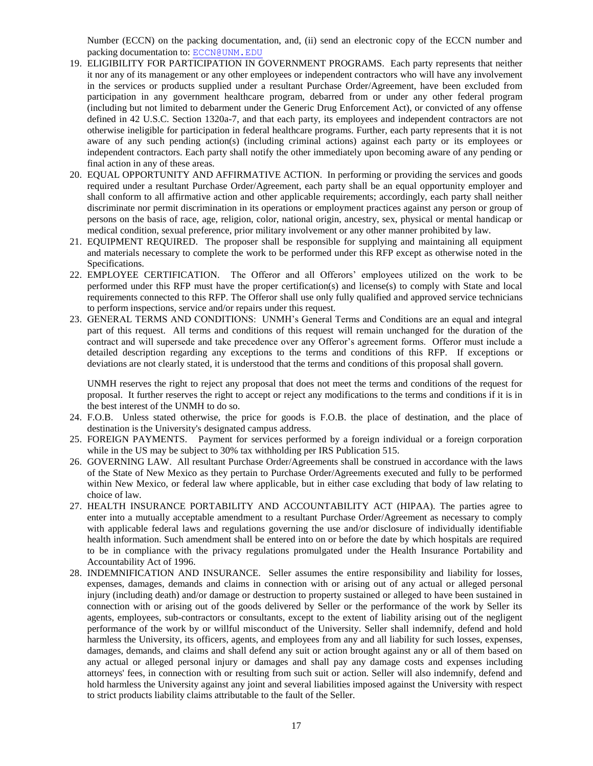Number (ECCN) on the packing documentation, and, (ii) send an electronic copy of the ECCN number and packing documentation to: [ECCN@UNM.EDU](mailto:ECCN@UNM.EDU)

- 19. ELIGIBILITY FOR PARTICIPATION IN GOVERNMENT PROGRAMS. Each party represents that neither it nor any of its management or any other employees or independent contractors who will have any involvement in the services or products supplied under a resultant Purchase Order/Agreement, have been excluded from participation in any government healthcare program, debarred from or under any other federal program (including but not limited to debarment under the Generic Drug Enforcement Act), or convicted of any offense defined in 42 U.S.C. Section 1320a-7, and that each party, its employees and independent contractors are not otherwise ineligible for participation in federal healthcare programs. Further, each party represents that it is not aware of any such pending action(s) (including criminal actions) against each party or its employees or independent contractors. Each party shall notify the other immediately upon becoming aware of any pending or final action in any of these areas.
- 20. EQUAL OPPORTUNITY AND AFFIRMATIVE ACTION. In performing or providing the services and goods required under a resultant Purchase Order/Agreement, each party shall be an equal opportunity employer and shall conform to all affirmative action and other applicable requirements; accordingly, each party shall neither discriminate nor permit discrimination in its operations or employment practices against any person or group of persons on the basis of race, age, religion, color, national origin, ancestry, sex, physical or mental handicap or medical condition, sexual preference, prior military involvement or any other manner prohibited by law.
- 21. EQUIPMENT REQUIRED. The proposer shall be responsible for supplying and maintaining all equipment and materials necessary to complete the work to be performed under this RFP except as otherwise noted in the Specifications.
- 22. EMPLOYEE CERTIFICATION. The Offeror and all Offerors' employees utilized on the work to be performed under this RFP must have the proper certification(s) and license(s) to comply with State and local requirements connected to this RFP. The Offeror shall use only fully qualified and approved service technicians to perform inspections, service and/or repairs under this request.
- 23. GENERAL TERMS AND CONDITIONS: UNMH's General Terms and Conditions are an equal and integral part of this request. All terms and conditions of this request will remain unchanged for the duration of the contract and will supersede and take precedence over any Offeror's agreement forms. Offeror must include a detailed description regarding any exceptions to the terms and conditions of this RFP. If exceptions or deviations are not clearly stated, it is understood that the terms and conditions of this proposal shall govern.

UNMH reserves the right to reject any proposal that does not meet the terms and conditions of the request for proposal. It further reserves the right to accept or reject any modifications to the terms and conditions if it is in the best interest of the UNMH to do so.

- 24. F.O.B. Unless stated otherwise, the price for goods is F.O.B. the place of destination, and the place of destination is the University's designated campus address.
- 25. FOREIGN PAYMENTS. Payment for services performed by a foreign individual or a foreign corporation while in the US may be subject to 30% tax withholding per IRS Publication 515.
- 26. GOVERNING LAW. All resultant Purchase Order/Agreements shall be construed in accordance with the laws of the State of New Mexico as they pertain to Purchase Order/Agreements executed and fully to be performed within New Mexico, or federal law where applicable, but in either case excluding that body of law relating to choice of law.
- 27. HEALTH INSURANCE PORTABILITY AND ACCOUNTABILITY ACT (HIPAA). The parties agree to enter into a mutually acceptable amendment to a resultant Purchase Order/Agreement as necessary to comply with applicable federal laws and regulations governing the use and/or disclosure of individually identifiable health information. Such amendment shall be entered into on or before the date by which hospitals are required to be in compliance with the privacy regulations promulgated under the Health Insurance Portability and Accountability Act of 1996.
- 28. INDEMNIFICATION AND INSURANCE. Seller assumes the entire responsibility and liability for losses, expenses, damages, demands and claims in connection with or arising out of any actual or alleged personal injury (including death) and/or damage or destruction to property sustained or alleged to have been sustained in connection with or arising out of the goods delivered by Seller or the performance of the work by Seller its agents, employees, sub-contractors or consultants, except to the extent of liability arising out of the negligent performance of the work by or willful misconduct of the University. Seller shall indemnify, defend and hold harmless the University, its officers, agents, and employees from any and all liability for such losses, expenses, damages, demands, and claims and shall defend any suit or action brought against any or all of them based on any actual or alleged personal injury or damages and shall pay any damage costs and expenses including attorneys' fees, in connection with or resulting from such suit or action. Seller will also indemnify, defend and hold harmless the University against any joint and several liabilities imposed against the University with respect to strict products liability claims attributable to the fault of the Seller.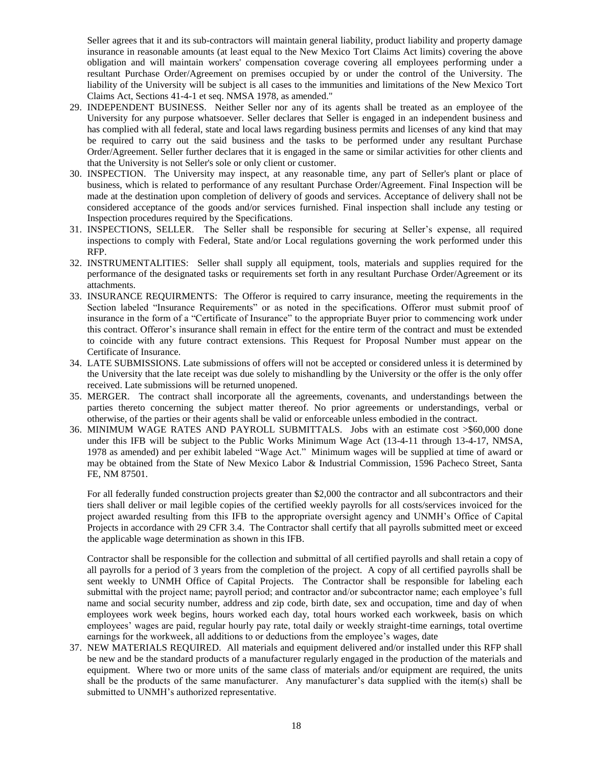Seller agrees that it and its sub-contractors will maintain general liability, product liability and property damage insurance in reasonable amounts (at least equal to the New Mexico Tort Claims Act limits) covering the above obligation and will maintain workers' compensation coverage covering all employees performing under a resultant Purchase Order/Agreement on premises occupied by or under the control of the University. The liability of the University will be subject is all cases to the immunities and limitations of the New Mexico Tort Claims Act, Sections 41-4-1 et seq. NMSA 1978, as amended."

- 29. INDEPENDENT BUSINESS. Neither Seller nor any of its agents shall be treated as an employee of the University for any purpose whatsoever. Seller declares that Seller is engaged in an independent business and has complied with all federal, state and local laws regarding business permits and licenses of any kind that may be required to carry out the said business and the tasks to be performed under any resultant Purchase Order/Agreement. Seller further declares that it is engaged in the same or similar activities for other clients and that the University is not Seller's sole or only client or customer.
- 30. INSPECTION. The University may inspect, at any reasonable time, any part of Seller's plant or place of business, which is related to performance of any resultant Purchase Order/Agreement. Final Inspection will be made at the destination upon completion of delivery of goods and services. Acceptance of delivery shall not be considered acceptance of the goods and/or services furnished. Final inspection shall include any testing or Inspection procedures required by the Specifications.
- 31. INSPECTIONS, SELLER. The Seller shall be responsible for securing at Seller's expense, all required inspections to comply with Federal, State and/or Local regulations governing the work performed under this RFP.
- 32. INSTRUMENTALITIES: Seller shall supply all equipment, tools, materials and supplies required for the performance of the designated tasks or requirements set forth in any resultant Purchase Order/Agreement or its attachments.
- 33. INSURANCE REQUIRMENTS: The Offeror is required to carry insurance, meeting the requirements in the Section labeled "Insurance Requirements" or as noted in the specifications. Offeror must submit proof of insurance in the form of a "Certificate of Insurance" to the appropriate Buyer prior to commencing work under this contract. Offeror's insurance shall remain in effect for the entire term of the contract and must be extended to coincide with any future contract extensions. This Request for Proposal Number must appear on the Certificate of Insurance.
- 34. LATE SUBMISSIONS. Late submissions of offers will not be accepted or considered unless it is determined by the University that the late receipt was due solely to mishandling by the University or the offer is the only offer received. Late submissions will be returned unopened.
- 35. MERGER. The contract shall incorporate all the agreements, covenants, and understandings between the parties thereto concerning the subject matter thereof. No prior agreements or understandings, verbal or otherwise, of the parties or their agents shall be valid or enforceable unless embodied in the contract.
- 36. MINIMUM WAGE RATES AND PAYROLL SUBMITTALS. Jobs with an estimate cost >\$60,000 done under this IFB will be subject to the Public Works Minimum Wage Act (13-4-11 through 13-4-17, NMSA, 1978 as amended) and per exhibit labeled "Wage Act." Minimum wages will be supplied at time of award or may be obtained from the State of New Mexico Labor & Industrial Commission, 1596 Pacheco Street, Santa FE, NM 87501.

For all federally funded construction projects greater than \$2,000 the contractor and all subcontractors and their tiers shall deliver or mail legible copies of the certified weekly payrolls for all costs/services invoiced for the project awarded resulting from this IFB to the appropriate oversight agency and UNMH's Office of Capital Projects in accordance with 29 CFR 3.4. The Contractor shall certify that all payrolls submitted meet or exceed the applicable wage determination as shown in this IFB.

Contractor shall be responsible for the collection and submittal of all certified payrolls and shall retain a copy of all payrolls for a period of 3 years from the completion of the project. A copy of all certified payrolls shall be sent weekly to UNMH Office of Capital Projects. The Contractor shall be responsible for labeling each submittal with the project name; payroll period; and contractor and/or subcontractor name; each employee's full name and social security number, address and zip code, birth date, sex and occupation, time and day of when employees work week begins, hours worked each day, total hours worked each workweek, basis on which employees' wages are paid, regular hourly pay rate, total daily or weekly straight-time earnings, total overtime earnings for the workweek, all additions to or deductions from the employee's wages, date

37. NEW MATERIALS REQUIRED. All materials and equipment delivered and/or installed under this RFP shall be new and be the standard products of a manufacturer regularly engaged in the production of the materials and equipment. Where two or more units of the same class of materials and/or equipment are required, the units shall be the products of the same manufacturer. Any manufacturer's data supplied with the item(s) shall be submitted to UNMH's authorized representative.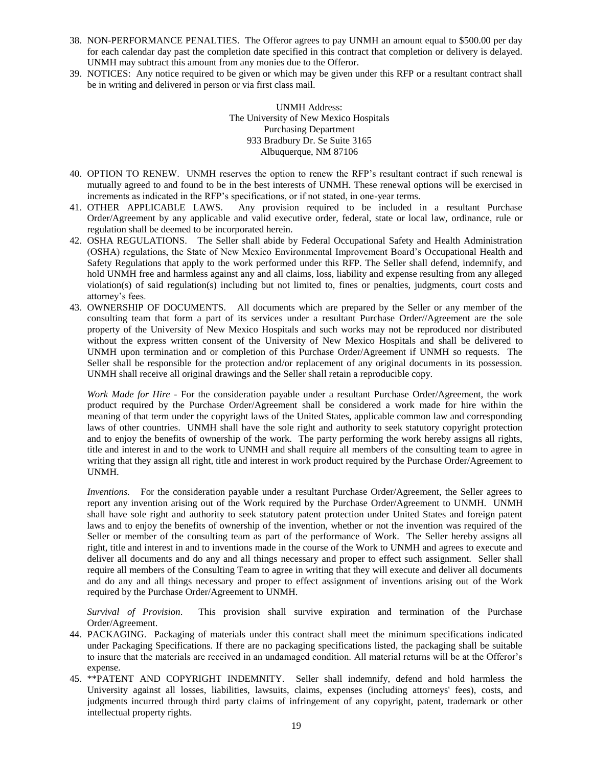- 38. NON-PERFORMANCE PENALTIES. The Offeror agrees to pay UNMH an amount equal to \$500.00 per day for each calendar day past the completion date specified in this contract that completion or delivery is delayed. UNMH may subtract this amount from any monies due to the Offeror.
- 39. NOTICES: Any notice required to be given or which may be given under this RFP or a resultant contract shall be in writing and delivered in person or via first class mail.

UNMH Address: The University of New Mexico Hospitals Purchasing Department 933 Bradbury Dr. Se Suite 3165 Albuquerque, NM 87106

- 40. OPTION TO RENEW. UNMH reserves the option to renew the RFP's resultant contract if such renewal is mutually agreed to and found to be in the best interests of UNMH. These renewal options will be exercised in increments as indicated in the RFP's specifications, or if not stated, in one-year terms.
- 41. OTHER APPLICABLE LAWS. Any provision required to be included in a resultant Purchase Order/Agreement by any applicable and valid executive order, federal, state or local law, ordinance, rule or regulation shall be deemed to be incorporated herein.
- 42. OSHA REGULATIONS. The Seller shall abide by Federal Occupational Safety and Health Administration (OSHA) regulations, the State of New Mexico Environmental Improvement Board's Occupational Health and Safety Regulations that apply to the work performed under this RFP. The Seller shall defend, indemnify, and hold UNMH free and harmless against any and all claims, loss, liability and expense resulting from any alleged violation(s) of said regulation(s) including but not limited to, fines or penalties, judgments, court costs and attorney's fees.
- 43. OWNERSHIP OF DOCUMENTS. All documents which are prepared by the Seller or any member of the consulting team that form a part of its services under a resultant Purchase Order//Agreement are the sole property of the University of New Mexico Hospitals and such works may not be reproduced nor distributed without the express written consent of the University of New Mexico Hospitals and shall be delivered to UNMH upon termination and or completion of this Purchase Order/Agreement if UNMH so requests. The Seller shall be responsible for the protection and/or replacement of any original documents in its possession. UNMH shall receive all original drawings and the Seller shall retain a reproducible copy.

*Work Made for Hire* - For the consideration payable under a resultant Purchase Order/Agreement, the work product required by the Purchase Order/Agreement shall be considered a work made for hire within the meaning of that term under the copyright laws of the United States, applicable common law and corresponding laws of other countries. UNMH shall have the sole right and authority to seek statutory copyright protection and to enjoy the benefits of ownership of the work. The party performing the work hereby assigns all rights, title and interest in and to the work to UNMH and shall require all members of the consulting team to agree in writing that they assign all right, title and interest in work product required by the Purchase Order/Agreement to UNMH.

*Inventions.* For the consideration payable under a resultant Purchase Order/Agreement, the Seller agrees to report any invention arising out of the Work required by the Purchase Order/Agreement to UNMH. UNMH shall have sole right and authority to seek statutory patent protection under United States and foreign patent laws and to enjoy the benefits of ownership of the invention, whether or not the invention was required of the Seller or member of the consulting team as part of the performance of Work. The Seller hereby assigns all right, title and interest in and to inventions made in the course of the Work to UNMH and agrees to execute and deliver all documents and do any and all things necessary and proper to effect such assignment. Seller shall require all members of the Consulting Team to agree in writing that they will execute and deliver all documents and do any and all things necessary and proper to effect assignment of inventions arising out of the Work required by the Purchase Order/Agreement to UNMH.

*Survival of Provision*. This provision shall survive expiration and termination of the Purchase Order/Agreement.

- 44. PACKAGING. Packaging of materials under this contract shall meet the minimum specifications indicated under Packaging Specifications. If there are no packaging specifications listed, the packaging shall be suitable to insure that the materials are received in an undamaged condition. All material returns will be at the Offeror's expense.
- 45. \*\*PATENT AND COPYRIGHT INDEMNITY. Seller shall indemnify, defend and hold harmless the University against all losses, liabilities, lawsuits, claims, expenses (including attorneys' fees), costs, and judgments incurred through third party claims of infringement of any copyright, patent, trademark or other intellectual property rights.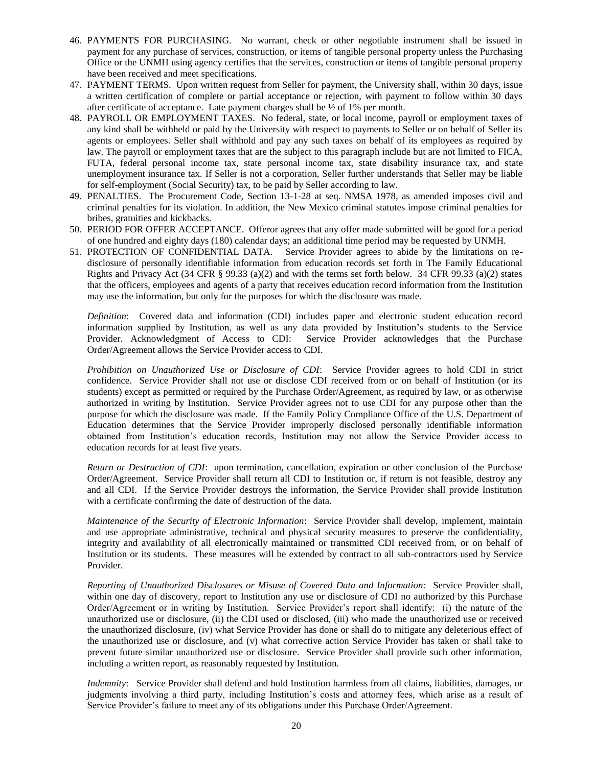- 46. PAYMENTS FOR PURCHASING. No warrant, check or other negotiable instrument shall be issued in payment for any purchase of services, construction, or items of tangible personal property unless the Purchasing Office or the UNMH using agency certifies that the services, construction or items of tangible personal property have been received and meet specifications.
- 47. PAYMENT TERMS. Upon written request from Seller for payment, the University shall, within 30 days, issue a written certification of complete or partial acceptance or rejection, with payment to follow within 30 days after certificate of acceptance. Late payment charges shall be  $\frac{1}{2}$  of 1% per month.
- 48. PAYROLL OR EMPLOYMENT TAXES. No federal, state, or local income, payroll or employment taxes of any kind shall be withheld or paid by the University with respect to payments to Seller or on behalf of Seller its agents or employees. Seller shall withhold and pay any such taxes on behalf of its employees as required by law. The payroll or employment taxes that are the subject to this paragraph include but are not limited to FICA, FUTA, federal personal income tax, state personal income tax, state disability insurance tax, and state unemployment insurance tax. If Seller is not a corporation, Seller further understands that Seller may be liable for self-employment (Social Security) tax, to be paid by Seller according to law.
- 49. PENALTIES. The Procurement Code, Section 13-1-28 at seq. NMSA 1978, as amended imposes civil and criminal penalties for its violation. In addition, the New Mexico criminal statutes impose criminal penalties for bribes, gratuities and kickbacks.
- 50. PERIOD FOR OFFER ACCEPTANCE. Offeror agrees that any offer made submitted will be good for a period of one hundred and eighty days (180) calendar days; an additional time period may be requested by UNMH.
- 51. PROTECTION OF CONFIDENTIAL DATA. Service Provider agrees to abide by the limitations on redisclosure of personally identifiable information from education records set forth in The Family Educational Rights and Privacy Act (34 CFR § 99.33 (a)(2) and with the terms set forth below. 34 CFR 99.33 (a)(2) states that the officers, employees and agents of a party that receives education record information from the Institution may use the information, but only for the purposes for which the disclosure was made.

*Definition*: Covered data and information (CDI) includes paper and electronic student education record information supplied by Institution, as well as any data provided by Institution's students to the Service Provider. Acknowledgment of Access to CDI: Service Provider acknowledges that the Purchase Order/Agreement allows the Service Provider access to CDI.

*Prohibition on Unauthorized Use or Disclosure of CDI*: Service Provider agrees to hold CDI in strict confidence. Service Provider shall not use or disclose CDI received from or on behalf of Institution (or its students) except as permitted or required by the Purchase Order/Agreement, as required by law, or as otherwise authorized in writing by Institution. Service Provider agrees not to use CDI for any purpose other than the purpose for which the disclosure was made. If the Family Policy Compliance Office of the U.S. Department of Education determines that the Service Provider improperly disclosed personally identifiable information obtained from Institution's education records, Institution may not allow the Service Provider access to education records for at least five years.

*Return or Destruction of CDI*: upon termination, cancellation, expiration or other conclusion of the Purchase Order/Agreement. Service Provider shall return all CDI to Institution or, if return is not feasible, destroy any and all CDI. If the Service Provider destroys the information, the Service Provider shall provide Institution with a certificate confirming the date of destruction of the data.

*Maintenance of the Security of Electronic Information*: Service Provider shall develop, implement, maintain and use appropriate administrative, technical and physical security measures to preserve the confidentiality, integrity and availability of all electronically maintained or transmitted CDI received from, or on behalf of Institution or its students. These measures will be extended by contract to all sub-contractors used by Service Provider.

*Reporting of Unauthorized Disclosures or Misuse of Covered Data and Information*: Service Provider shall, within one day of discovery, report to Institution any use or disclosure of CDI no authorized by this Purchase Order/Agreement or in writing by Institution. Service Provider's report shall identify: (i) the nature of the unauthorized use or disclosure, (ii) the CDI used or disclosed, (iii) who made the unauthorized use or received the unauthorized disclosure, (iv) what Service Provider has done or shall do to mitigate any deleterious effect of the unauthorized use or disclosure, and (v) what corrective action Service Provider has taken or shall take to prevent future similar unauthorized use or disclosure. Service Provider shall provide such other information, including a written report, as reasonably requested by Institution.

*Indemnity*: Service Provider shall defend and hold Institution harmless from all claims, liabilities, damages, or judgments involving a third party, including Institution's costs and attorney fees, which arise as a result of Service Provider's failure to meet any of its obligations under this Purchase Order/Agreement.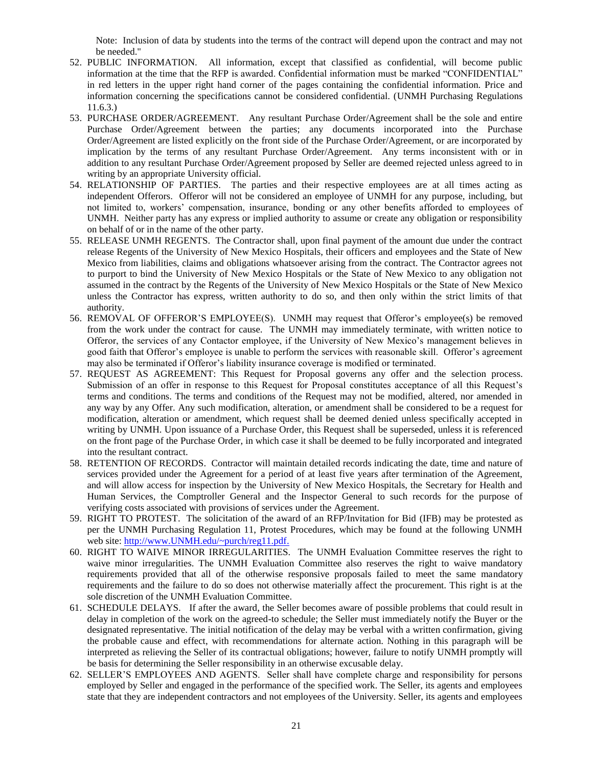Note: Inclusion of data by students into the terms of the contract will depend upon the contract and may not be needed."

- 52. PUBLIC INFORMATION. All information, except that classified as confidential, will become public information at the time that the RFP is awarded. Confidential information must be marked "CONFIDENTIAL" in red letters in the upper right hand corner of the pages containing the confidential information. Price and information concerning the specifications cannot be considered confidential. (UNMH Purchasing Regulations 11.6.3.)
- 53. PURCHASE ORDER/AGREEMENT. Any resultant Purchase Order/Agreement shall be the sole and entire Purchase Order/Agreement between the parties; any documents incorporated into the Purchase Order/Agreement are listed explicitly on the front side of the Purchase Order/Agreement, or are incorporated by implication by the terms of any resultant Purchase Order/Agreement. Any terms inconsistent with or in addition to any resultant Purchase Order/Agreement proposed by Seller are deemed rejected unless agreed to in writing by an appropriate University official.
- 54. RELATIONSHIP OF PARTIES. The parties and their respective employees are at all times acting as independent Offerors. Offeror will not be considered an employee of UNMH for any purpose, including, but not limited to, workers' compensation, insurance, bonding or any other benefits afforded to employees of UNMH. Neither party has any express or implied authority to assume or create any obligation or responsibility on behalf of or in the name of the other party.
- 55. RELEASE UNMH REGENTS. The Contractor shall, upon final payment of the amount due under the contract release Regents of the University of New Mexico Hospitals, their officers and employees and the State of New Mexico from liabilities, claims and obligations whatsoever arising from the contract. The Contractor agrees not to purport to bind the University of New Mexico Hospitals or the State of New Mexico to any obligation not assumed in the contract by the Regents of the University of New Mexico Hospitals or the State of New Mexico unless the Contractor has express, written authority to do so, and then only within the strict limits of that authority.
- 56. REMOVAL OF OFFEROR'S EMPLOYEE(S). UNMH may request that Offeror's employee(s) be removed from the work under the contract for cause. The UNMH may immediately terminate, with written notice to Offeror, the services of any Contactor employee, if the University of New Mexico's management believes in good faith that Offeror's employee is unable to perform the services with reasonable skill. Offeror's agreement may also be terminated if Offeror's liability insurance coverage is modified or terminated.
- 57. REQUEST AS AGREEMENT: This Request for Proposal governs any offer and the selection process. Submission of an offer in response to this Request for Proposal constitutes acceptance of all this Request's terms and conditions. The terms and conditions of the Request may not be modified, altered, nor amended in any way by any Offer. Any such modification, alteration, or amendment shall be considered to be a request for modification, alteration or amendment, which request shall be deemed denied unless specifically accepted in writing by UNMH. Upon issuance of a Purchase Order, this Request shall be superseded, unless it is referenced on the front page of the Purchase Order, in which case it shall be deemed to be fully incorporated and integrated into the resultant contract.
- 58. RETENTION OF RECORDS. Contractor will maintain detailed records indicating the date, time and nature of services provided under the Agreement for a period of at least five years after termination of the Agreement, and will allow access for inspection by the University of New Mexico Hospitals, the Secretary for Health and Human Services, the Comptroller General and the Inspector General to such records for the purpose of verifying costs associated with provisions of services under the Agreement.
- 59. RIGHT TO PROTEST. The solicitation of the award of an RFP/Invitation for Bid (IFB) may be protested as per the UNMH Purchasing Regulation 11, Protest Procedures, which may be found at the following UNMH web site: [http://www.UNMH.edu/~purch/reg11.pdf.](http://www.unm.edu/~purch/reg11.pdf)
- 60. RIGHT TO WAIVE MINOR IRREGULARITIES. The UNMH Evaluation Committee reserves the right to waive minor irregularities. The UNMH Evaluation Committee also reserves the right to waive mandatory requirements provided that all of the otherwise responsive proposals failed to meet the same mandatory requirements and the failure to do so does not otherwise materially affect the procurement. This right is at the sole discretion of the UNMH Evaluation Committee.
- 61. SCHEDULE DELAYS. If after the award, the Seller becomes aware of possible problems that could result in delay in completion of the work on the agreed-to schedule; the Seller must immediately notify the Buyer or the designated representative. The initial notification of the delay may be verbal with a written confirmation, giving the probable cause and effect, with recommendations for alternate action. Nothing in this paragraph will be interpreted as relieving the Seller of its contractual obligations; however, failure to notify UNMH promptly will be basis for determining the Seller responsibility in an otherwise excusable delay.
- 62. SELLER'S EMPLOYEES AND AGENTS. Seller shall have complete charge and responsibility for persons employed by Seller and engaged in the performance of the specified work. The Seller, its agents and employees state that they are independent contractors and not employees of the University. Seller, its agents and employees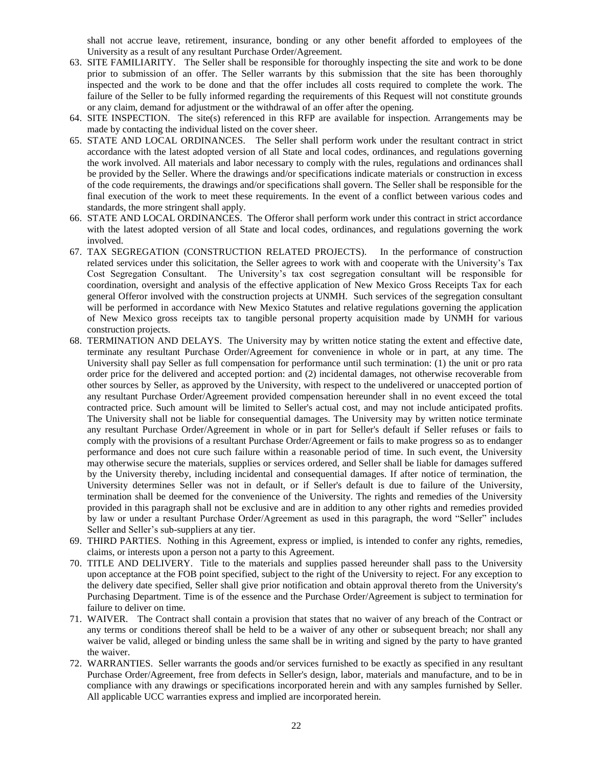shall not accrue leave, retirement, insurance, bonding or any other benefit afforded to employees of the University as a result of any resultant Purchase Order/Agreement.

- 63. SITE FAMILIARITY. The Seller shall be responsible for thoroughly inspecting the site and work to be done prior to submission of an offer. The Seller warrants by this submission that the site has been thoroughly inspected and the work to be done and that the offer includes all costs required to complete the work. The failure of the Seller to be fully informed regarding the requirements of this Request will not constitute grounds or any claim, demand for adjustment or the withdrawal of an offer after the opening.
- 64. SITE INSPECTION. The site(s) referenced in this RFP are available for inspection. Arrangements may be made by contacting the individual listed on the cover sheer.
- 65. STATE AND LOCAL ORDINANCES. The Seller shall perform work under the resultant contract in strict accordance with the latest adopted version of all State and local codes, ordinances, and regulations governing the work involved. All materials and labor necessary to comply with the rules, regulations and ordinances shall be provided by the Seller. Where the drawings and/or specifications indicate materials or construction in excess of the code requirements, the drawings and/or specifications shall govern. The Seller shall be responsible for the final execution of the work to meet these requirements. In the event of a conflict between various codes and standards, the more stringent shall apply.
- 66. STATE AND LOCAL ORDINANCES. The Offeror shall perform work under this contract in strict accordance with the latest adopted version of all State and local codes, ordinances, and regulations governing the work involved.
- 67. TAX SEGREGATION (CONSTRUCTION RELATED PROJECTS). In the performance of construction related services under this solicitation, the Seller agrees to work with and cooperate with the University's Tax Cost Segregation Consultant. The University's tax cost segregation consultant will be responsible for coordination, oversight and analysis of the effective application of New Mexico Gross Receipts Tax for each general Offeror involved with the construction projects at UNMH. Such services of the segregation consultant will be performed in accordance with New Mexico Statutes and relative regulations governing the application of New Mexico gross receipts tax to tangible personal property acquisition made by UNMH for various construction projects.
- 68. TERMINATION AND DELAYS. The University may by written notice stating the extent and effective date, terminate any resultant Purchase Order/Agreement for convenience in whole or in part, at any time. The University shall pay Seller as full compensation for performance until such termination: (1) the unit or pro rata order price for the delivered and accepted portion: and (2) incidental damages, not otherwise recoverable from other sources by Seller, as approved by the University, with respect to the undelivered or unaccepted portion of any resultant Purchase Order/Agreement provided compensation hereunder shall in no event exceed the total contracted price. Such amount will be limited to Seller's actual cost, and may not include anticipated profits. The University shall not be liable for consequential damages. The University may by written notice terminate any resultant Purchase Order/Agreement in whole or in part for Seller's default if Seller refuses or fails to comply with the provisions of a resultant Purchase Order/Agreement or fails to make progress so as to endanger performance and does not cure such failure within a reasonable period of time. In such event, the University may otherwise secure the materials, supplies or services ordered, and Seller shall be liable for damages suffered by the University thereby, including incidental and consequential damages. If after notice of termination, the University determines Seller was not in default, or if Seller's default is due to failure of the University, termination shall be deemed for the convenience of the University. The rights and remedies of the University provided in this paragraph shall not be exclusive and are in addition to any other rights and remedies provided by law or under a resultant Purchase Order/Agreement as used in this paragraph, the word "Seller" includes Seller and Seller's sub-suppliers at any tier.
- 69. THIRD PARTIES. Nothing in this Agreement, express or implied, is intended to confer any rights, remedies, claims, or interests upon a person not a party to this Agreement.
- 70. TITLE AND DELIVERY. Title to the materials and supplies passed hereunder shall pass to the University upon acceptance at the FOB point specified, subject to the right of the University to reject. For any exception to the delivery date specified, Seller shall give prior notification and obtain approval thereto from the University's Purchasing Department. Time is of the essence and the Purchase Order/Agreement is subject to termination for failure to deliver on time.
- 71. WAIVER. The Contract shall contain a provision that states that no waiver of any breach of the Contract or any terms or conditions thereof shall be held to be a waiver of any other or subsequent breach; nor shall any waiver be valid, alleged or binding unless the same shall be in writing and signed by the party to have granted the waiver.
- 72. WARRANTIES. Seller warrants the goods and/or services furnished to be exactly as specified in any resultant Purchase Order/Agreement, free from defects in Seller's design, labor, materials and manufacture, and to be in compliance with any drawings or specifications incorporated herein and with any samples furnished by Seller. All applicable UCC warranties express and implied are incorporated herein.